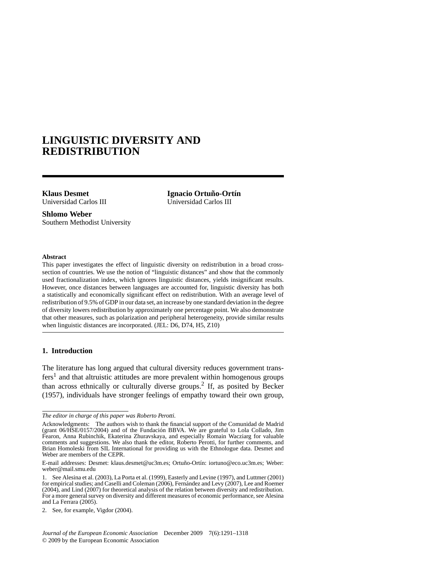# **LINGUISTIC DIVERSITY AND REDISTRIBUTION**

**Klaus Desmet** Universidad Carlos III **Ignacio Ortuño-Ortín** Universidad Carlos III

**Shlomo Weber** Southern Methodist University

#### **Abstract**

This paper investigates the effect of linguistic diversity on redistribution in a broad crosssection of countries. We use the notion of "linguistic distances" and show that the commonly used fractionalization index, which ignores linguistic distances, yields insignificant results. However, once distances between languages are accounted for, linguistic diversity has both a statistically and economically significant effect on redistribution. With an average level of redistribution of 9.5% of GDP in our data set, an increase by one standard deviation in the degree of diversity lowers redistribution by approximately one percentage point. We also demonstrate that other measures, such as polarization and peripheral heterogeneity, provide similar results when linguistic distances are incorporated. (JEL: D6, D74, H5, Z10)

## **1. Introduction**

The literature has long argued that cultural diversity reduces government trans $fers<sup>1</sup>$  and that altruistic attitudes are more prevalent within homogenous groups than across ethnically or culturally diverse groups.<sup>2</sup> If, as posited by Becker (1957), individuals have stronger feelings of empathy toward their own group,

*The editor in charge of this paper was Roberto Perotti.*

Acknowledgments: The authors wish to thank the financial support of the Comunidad de Madrid (grant 06/HSE/0157/2004) and of the Fundación BBVA. We are grateful to Lola Collado, Jim Fearon, Anna Rubinchik, Ekaterina Zhuravskaya, and especially Romain Wacziarg for valuable comments and suggestions. We also thank the editor, Roberto Perotti, for further comments, and Brian Homoleski from SIL International for providing us with the Ethnologue data. Desmet and Weber are members of the CEPR.

E-mail addresses: Desmet: klaus.desmet@uc3m.es; Ortuño-Ortín: iortuno@eco.uc3m.es; Weber: weber@mail.smu.edu

<sup>1.</sup> See Alesina et al. (2003), La Porta et al. (1999), Easterly and Levine (1997), and Luttmer (2001) for empirical studies; and Caselli and Coleman (2006), Fernández and Levy (2007), Lee and Roemer (2004), and Lind (2007) for theoretical analysis of the relation between diversity and redistribution. For a more general survey on diversity and different measures of economic performance, see Alesina and La Ferrara (2005).

<sup>2.</sup> See, for example, Vigdor (2004).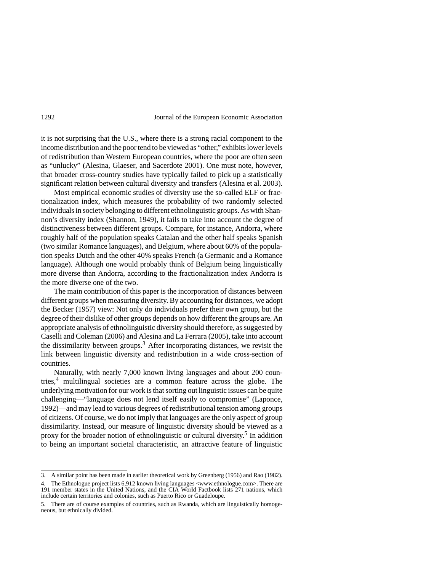it is not surprising that the U.S., where there is a strong racial component to the income distribution and the poor tend to be viewed as "other," exhibits lower levels of redistribution than Western European countries, where the poor are often seen as "unlucky" (Alesina, Glaeser, and Sacerdote 2001). One must note, however, that broader cross-country studies have typically failed to pick up a statistically significant relation between cultural diversity and transfers (Alesina et al. 2003).

Most empirical economic studies of diversity use the so-called ELF or fractionalization index, which measures the probability of two randomly selected individuals in society belonging to different ethnolinguistic groups. As with Shannon's diversity index (Shannon, 1949), it fails to take into account the degree of distinctiveness between different groups. Compare, for instance, Andorra, where roughly half of the population speaks Catalan and the other half speaks Spanish (two similar Romance languages), and Belgium, where about 60% of the population speaks Dutch and the other 40% speaks French (a Germanic and a Romance language). Although one would probably think of Belgium being linguistically more diverse than Andorra, according to the fractionalization index Andorra is the more diverse one of the two.

The main contribution of this paper is the incorporation of distances between different groups when measuring diversity. By accounting for distances, we adopt the Becker (1957) view: Not only do individuals prefer their own group, but the degree of their dislike of other groups depends on how different the groups are. An appropriate analysis of ethnolinguistic diversity should therefore, as suggested by Caselli and Coleman (2006) and Alesina and La Ferrara (2005), take into account the dissimilarity between groups.<sup>3</sup> After incorporating distances, we revisit the link between linguistic diversity and redistribution in a wide cross-section of countries.

Naturally, with nearly 7,000 known living languages and about 200 countries,<sup>4</sup> multilingual societies are a common feature across the globe. The underlying motivation for our work is that sorting out linguistic issues can be quite challenging—"language does not lend itself easily to compromise" (Laponce, 1992)—and may lead to various degrees of redistributional tension among groups of citizens. Of course, we do not imply that languages are the only aspect of group dissimilarity. Instead, our measure of linguistic diversity should be viewed as a proxy for the broader notion of ethnolinguistic or cultural diversity.<sup>5</sup> In addition to being an important societal characteristic, an attractive feature of linguistic

<sup>3.</sup> A similar point has been made in earlier theoretical work by Greenberg (1956) and Rao (1982).

<sup>4.</sup> The Ethnologue project lists 6,912 known living languages <www.ethnologue.com>. There are 191 member states in the United Nations, and the CIA World Factbook lists 271 nations, which include certain territories and colonies, such as Puerto Rico or Guadeloupe.

<sup>5.</sup> There are of course examples of countries, such as Rwanda, which are linguistically homogeneous, but ethnically divided.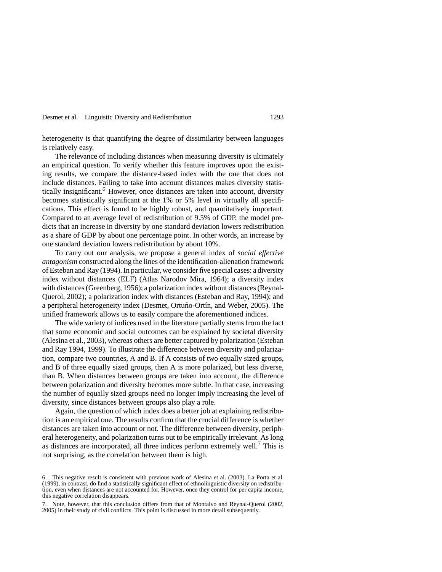heterogeneity is that quantifying the degree of dissimilarity between languages is relatively easy.

The relevance of including distances when measuring diversity is ultimately an empirical question. To verify whether this feature improves upon the existing results, we compare the distance-based index with the one that does not include distances. Failing to take into account distances makes diversity statistically insignificant.<sup>6</sup> However, once distances are taken into account, diversity becomes statistically significant at the 1% or 5% level in virtually all specifications. This effect is found to be highly robust, and quantitatively important. Compared to an average level of redistribution of 9.5% of GDP, the model predicts that an increase in diversity by one standard deviation lowers redistribution as a share of GDP by about one percentage point. In other words, an increase by one standard deviation lowers redistribution by about 10%.

To carry out our analysis, we propose a general index of *social effective antagonism* constructed along the lines of the identification-alienation framework of Esteban and Ray (1994). In particular, we consider five special cases: a diversity index without distances (ELF) (Atlas Narodov Mira, 1964); a diversity index with distances (Greenberg, 1956); a polarization index without distances (Reynal-Querol, 2002); a polarization index with distances (Esteban and Ray, 1994); and a peripheral heterogeneity index (Desmet, Ortuño-Ortín, and Weber, 2005). The unified framework allows us to easily compare the aforementioned indices.

The wide variety of indices used in the literature partially stems from the fact that some economic and social outcomes can be explained by societal diversity (Alesina et al., 2003), whereas others are better captured by polarization (Esteban and Ray 1994, 1999). To illustrate the difference between diversity and polarization, compare two countries, A and B. If A consists of two equally sized groups, and B of three equally sized groups, then A is more polarized, but less diverse, than B. When distances between groups are taken into account, the difference between polarization and diversity becomes more subtle. In that case, increasing the number of equally sized groups need no longer imply increasing the level of diversity, since distances between groups also play a role.

Again, the question of which index does a better job at explaining redistribution is an empirical one. The results confirm that the crucial difference is whether distances are taken into account or not. The difference between diversity, peripheral heterogeneity, and polarization turns out to be empirically irrelevant. As long as distances are incorporated, all three indices perform extremely well.<sup>7</sup> This is not surprising, as the correlation between them is high.

<sup>6.</sup> This negative result is consistent with previous work of Alesina et al. (2003). La Porta et al. (1999), in contrast, do find a statistically significant effect of ethnolinguistic diversity on redistribution, even when distances are not accounted for. However, once they control for per capita income, this negative correlation disappears.

<sup>7.</sup> Note, however, that this conclusion differs from that of Montalvo and Reynal-Querol (2002, 2005) in their study of civil conflicts. This point is discussed in more detail subsequently.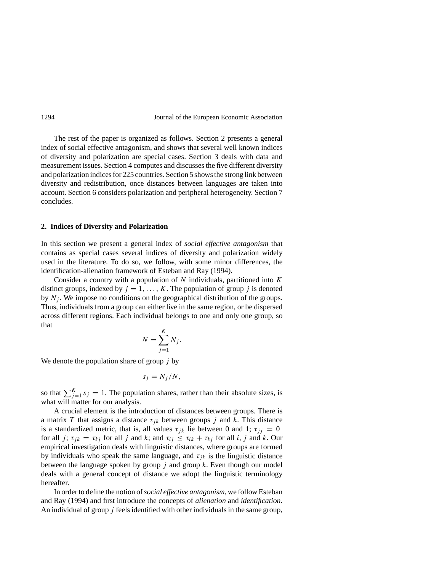The rest of the paper is organized as follows. Section 2 presents a general index of social effective antagonism, and shows that several well known indices of diversity and polarization are special cases. Section 3 deals with data and measurement issues. Section 4 computes and discusses the five different diversity and polarization indices for 225 countries. Section 5 shows the strong link between diversity and redistribution, once distances between languages are taken into account. Section 6 considers polarization and peripheral heterogeneity. Section 7 concludes.

#### **2. Indices of Diversity and Polarization**

In this section we present a general index of *social effective antagonism* that contains as special cases several indices of diversity and polarization widely used in the literature. To do so, we follow, with some minor differences, the identification-alienation framework of Esteban and Ray (1994).

Consider a country with a population of *N* individuals, partitioned into *K* distinct groups, indexed by  $j = 1, \ldots, K$ . The population of group *j* is denoted by  $N_i$ . We impose no conditions on the geographical distribution of the groups. Thus, individuals from a group can either live in the same region, or be dispersed across different regions. Each individual belongs to one and only one group, so that

$$
N = \sum_{j=1}^{K} N_j.
$$

We denote the population share of group *j* by

$$
s_j = N_j/N,
$$

so that  $\sum_{j=1}^{K} s_j = 1$ . The population shares, rather than their absolute sizes, is what will matter for our analysis.

A crucial element is the introduction of distances between groups. There is a matrix *T* that assigns a distance  $\tau_{ik}$  between groups *j* and *k*. This distance is a standardized metric, that is, all values  $\tau_{ik}$  lie between 0 and 1;  $\tau_{ij} = 0$ for all *j*;  $\tau_{ik} = \tau_{ki}$  for all *j* and *k*; and  $\tau_{ii} \leq \tau_{ik} + \tau_{ki}$  for all *i*, *j* and *k*. Our empirical investigation deals with linguistic distances, where groups are formed by individuals who speak the same language, and  $\tau_{ik}$  is the linguistic distance between the language spoken by group *j* and group *k*. Even though our model deals with a general concept of distance we adopt the linguistic terminology hereafter.

In order to define the notion of*social effective antagonism*, we follow Esteban and Ray (1994) and first introduce the concepts of *alienation* and *identification*. An individual of group *j* feels identified with other individuals in the same group,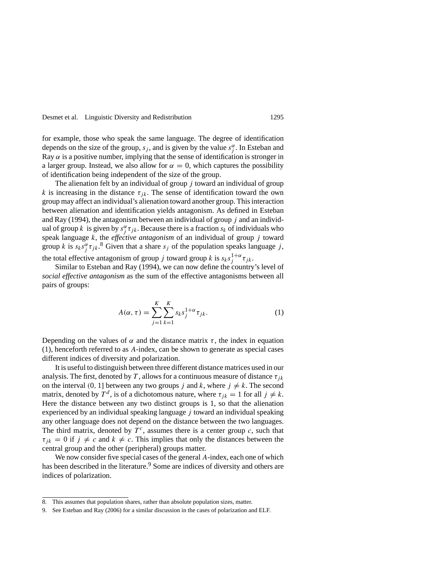for example, those who speak the same language. The degree of identification depends on the size of the group,  $s_j$ , and is given by the value  $s_j^{\alpha}$ . In Esteban and Ray  $\alpha$  is a positive number, implying that the sense of identification is stronger in a larger group. Instead, we also allow for  $\alpha = 0$ , which captures the possibility of identification being independent of the size of the group.

The alienation felt by an individual of group *j* toward an individual of group *k* is increasing in the distance  $\tau_{ik}$ . The sense of identification toward the own group may affect an individual's alienation toward another group. This interaction between alienation and identification yields antagonism. As defined in Esteban and Ray (1994), the antagonism between an individual of group *j* and an individual of group *k* is given by  $s_j^{\alpha} \tau_{jk}$ . Because there is a fraction  $s_k$  of individuals who speak language *k*, the *effective antagonism* of an individual of group *j* toward group *k* is  $s_k s_j^{\alpha} \tau_{jk}$ .<sup>8</sup> Given that a share  $s_j$  of the population speaks language *j*, the total effective antagonism of group *j* toward group *k* is  $s_k s_j^{1+\alpha} \tau_{jk}$ .

Similar to Esteban and Ray (1994), we can now define the country's level of *social effective antagonism* as the sum of the effective antagonisms between all pairs of groups:

$$
A(\alpha, \tau) = \sum_{j=1}^{K} \sum_{k=1}^{K} s_k s_j^{1+\alpha} \tau_{jk}.
$$
 (1)

Depending on the values of  $\alpha$  and the distance matrix  $\tau$ , the index in equation (1), henceforth referred to as *A*-index, can be shown to generate as special cases different indices of diversity and polarization.

It is useful to distinguish between three different distance matrices used in our analysis. The first, denoted by *T*, allows for a continuous measure of distance  $\tau_{jk}$ on the interval (0, 1] between any two groups *j* and *k*, where  $j \neq k$ . The second matrix, denoted by  $T^d$ , is of a dichotomous nature, where  $\tau_{ik} = 1$  for all  $j \neq k$ . Here the distance between any two distinct groups is 1, so that the alienation experienced by an individual speaking language *j* toward an individual speaking any other language does not depend on the distance between the two languages. The third matrix, denoted by  $T^c$ , assumes there is a center group  $c$ , such that  $\tau_{ik} = 0$  if  $j \neq c$  and  $k \neq c$ . This implies that only the distances between the central group and the other (peripheral) groups matter.

We now consider five special cases of the general *A*-index, each one of which has been described in the literature.<sup>9</sup> Some are indices of diversity and others are indices of polarization.

<sup>8.</sup> This assumes that population shares, rather than absolute population sizes, matter.

<sup>9.</sup> See Esteban and Ray (2006) for a similar discussion in the cases of polarization and ELF.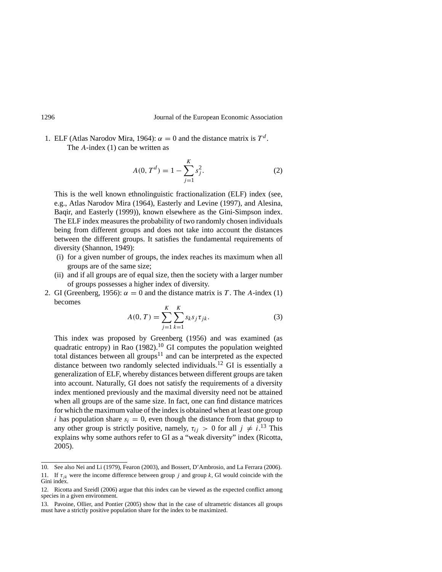1. ELF (Atlas Narodov Mira, 1964):  $\alpha = 0$  and the distance matrix is  $T^d$ . The *A*-index (1) can be written as

$$
A(0, T^d) = 1 - \sum_{j=1}^{K} s_j^2.
$$
 (2)

This is the well known ethnolinguistic fractionalization (ELF) index (see, e.g., Atlas Narodov Mira (1964), Easterly and Levine (1997), and Alesina, Baqir, and Easterly (1999)), known elsewhere as the Gini-Simpson index. The ELF index measures the probability of two randomly chosen individuals being from different groups and does not take into account the distances between the different groups. It satisfies the fundamental requirements of diversity (Shannon, 1949):

- (i) for a given number of groups, the index reaches its maximum when all groups are of the same size;
- (ii) and if all groups are of equal size, then the society with a larger number of groups possesses a higher index of diversity.
- 2. GI (Greenberg, 1956):  $\alpha = 0$  and the distance matrix is *T*. The *A*-index (1) becomes

$$
A(0, T) = \sum_{j=1}^{K} \sum_{k=1}^{K} s_k s_j \tau_{jk}.
$$
 (3)

This index was proposed by Greenberg (1956) and was examined (as quadratic entropy) in Rao  $(1982)$ .<sup>10</sup> GI computes the population weighted total distances between all groups<sup>11</sup> and can be interpreted as the expected distance between two randomly selected individuals.<sup>12</sup> GI is essentially a generalization of ELF, whereby distances between different groups are taken into account. Naturally, GI does not satisfy the requirements of a diversity index mentioned previously and the maximal diversity need not be attained when all groups are of the same size. In fact, one can find distance matrices for which the maximum value of the index is obtained when at least one group *i* has population share  $s_i = 0$ , even though the distance from that group to any other group is strictly positive, namely,  $\tau_{ij} > 0$  for all  $j \neq i$ .<sup>13</sup> This explains why some authors refer to GI as a "weak diversity" index (Ricotta, 2005).

<sup>10.</sup> See also Nei and Li (1979), Fearon (2003), and Bossert, D'Ambrosio, and La Ferrara (2006).

<sup>11.</sup> If  $\tau_{jk}$  were the income difference between group *j* and group *k*, GI would coincide with the Gini index.

<sup>12.</sup> Ricotta and Szeidl (2006) argue that this index can be viewed as the expected conflict among species in a given environment.

<sup>13.</sup> Pavoine, Ollier, and Pontier (2005) show that in the case of ultrametric distances all groups must have a strictly positive population share for the index to be maximized.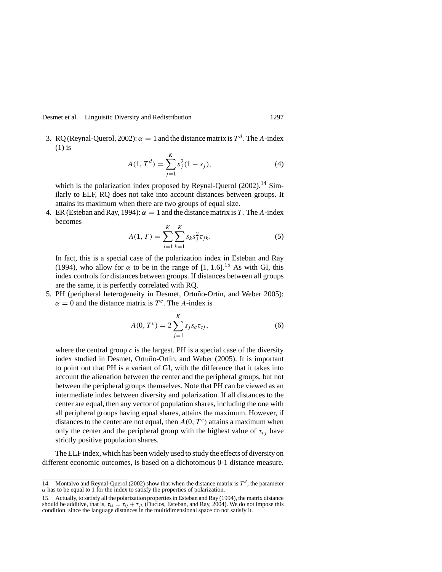3. RO (Reynal-Querol, 2002):  $\alpha = 1$  and the distance matrix is  $T^d$ . The *A*-index (1) is

$$
A(1, T^d) = \sum_{j=1}^{K} s_j^2 (1 - s_j),
$$
 (4)

which is the polarization index proposed by Reynal-Querol (2002).<sup>14</sup> Similarly to ELF, RQ does not take into account distances between groups. It attains its maximum when there are two groups of equal size.

4. ER (Esteban and Ray, 1994):  $\alpha = 1$  and the distance matrix is *T*. The *A*-index becomes

$$
A(1, T) = \sum_{j=1}^{K} \sum_{k=1}^{K} s_k s_j^2 \tau_{jk}.
$$
 (5)

In fact, this is a special case of the polarization index in Esteban and Ray (1994), who allow for  $\alpha$  to be in the range of [1, 1.6].<sup>15</sup> As with GI, this index controls for distances between groups. If distances between all groups are the same, it is perfectly correlated with RQ.

5. PH (peripheral heterogeneity in Desmet, Ortuño-Ortín, and Weber 2005):  $\alpha = 0$  and the distance matrix is  $T^c$ . The *A*-index is

$$
A(0, T^{c}) = 2 \sum_{j=1}^{K} s_{j} s_{c} \tau_{cj},
$$
\n(6)

where the central group  $c$  is the largest. PH is a special case of the diversity index studied in Desmet, Ortuño-Ortín, and Weber (2005). It is important to point out that PH is a variant of GI, with the difference that it takes into account the alienation between the center and the peripheral groups, but not between the peripheral groups themselves. Note that PH can be viewed as an intermediate index between diversity and polarization. If all distances to the center are equal, then any vector of population shares, including the one with all peripheral groups having equal shares, attains the maximum. However, if distances to the center are not equal, then  $A(0, T^c)$  attains a maximum when only the center and the peripheral group with the highest value of  $\tau_{ci}$  have strictly positive population shares.

The ELF index, which has been widely used to study the effects of diversity on different economic outcomes, is based on a dichotomous 0-1 distance measure.

<sup>14.</sup> Montalvo and Reynal-Querol (2002) show that when the distance matrix is  $T<sup>d</sup>$ , the parameter  $\alpha$  has to be equal to 1 for the index to satisfy the properties of polarization.

<sup>15.</sup> Actually, to satisfy all the polarization properties in Esteban and Ray (1994), the matrix distance should be additive, that is,  $\tau_{ik} = \tau_{ii} + \tau_{ik}$  (Duclos, Esteban, and Ray, 2004). We do not impose this condition, since the language distances in the multidimensional space do not satisfy it.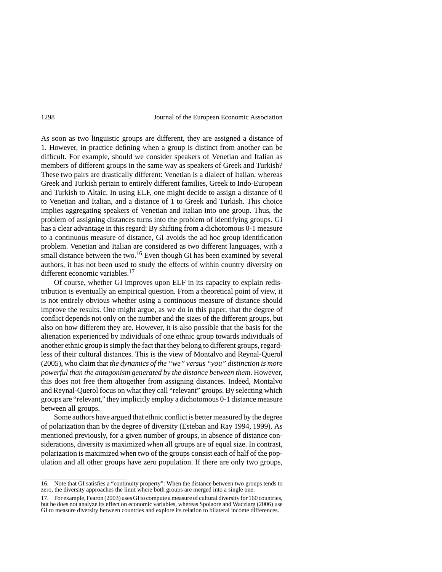As soon as two linguistic groups are different, they are assigned a distance of 1. However, in practice defining when a group is distinct from another can be difficult. For example, should we consider speakers of Venetian and Italian as members of different groups in the same way as speakers of Greek and Turkish? These two pairs are drastically different: Venetian is a dialect of Italian, whereas Greek and Turkish pertain to entirely different families, Greek to Indo-European and Turkish to Altaic. In using ELF, one might decide to assign a distance of 0 to Venetian and Italian, and a distance of 1 to Greek and Turkish. This choice implies aggregating speakers of Venetian and Italian into one group. Thus, the problem of assigning distances turns into the problem of identifying groups. GI has a clear advantage in this regard: By shifting from a dichotomous 0-1 measure to a continuous measure of distance, GI avoids the ad hoc group identification problem. Venetian and Italian are considered as two different languages, with a small distance between the two.<sup>16</sup> Even though GI has been examined by several authors, it has not been used to study the effects of within country diversity on different economic variables.<sup>17</sup>

Of course, whether GI improves upon ELF in its capacity to explain redistribution is eventually an empirical question. From a theoretical point of view, it is not entirely obvious whether using a continuous measure of distance should improve the results. One might argue, as we do in this paper, that the degree of conflict depends not only on the number and the sizes of the different groups, but also on how different they are. However, it is also possible that the basis for the alienation experienced by individuals of one ethnic group towards individuals of another ethnic group is simply the fact that they belong to different groups, regardless of their cultural distances. This is the view of Montalvo and Reynal-Querol (2005), who claim that *the dynamics of the "we" versus "you" distinction is more powerful than the antagonism generated by the distance between them*. However, this does not free them altogether from assigning distances. Indeed, Montalvo and Reynal-Querol focus on what they call "relevant" groups. By selecting which groups are "relevant," they implicitly employ a dichotomous 0-1 distance measure between all groups.

Some authors have argued that ethnic conflict is better measured by the degree of polarization than by the degree of diversity (Esteban and Ray 1994, 1999). As mentioned previously, for a given number of groups, in absence of distance considerations, diversity is maximized when all groups are of equal size. In contrast, polarization is maximized when two of the groups consist each of half of the population and all other groups have zero population. If there are only two groups,

<sup>16.</sup> Note that GI satisfies a "continuity property": When the distance between two groups tends to zero, the diversity approaches the limit where both groups are merged into a single one.

<sup>17.</sup> For example, Fearon (2003) uses GI to compute a measure of cultural diversity for 160 countries, but he does not analyze its effect on economic variables, whereas Spolaore and Wacziarg (2006) use GI to measure diversity between countries and explore its relation to bilateral income differences.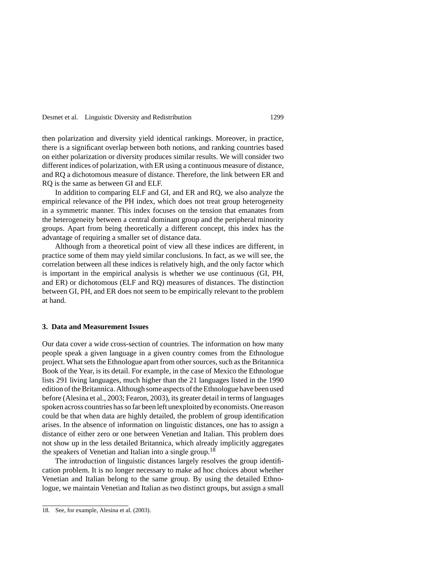then polarization and diversity yield identical rankings. Moreover, in practice, there is a significant overlap between both notions, and ranking countries based on either polarization or diversity produces similar results. We will consider two different indices of polarization, with ER using a continuous measure of distance, and RQ a dichotomous measure of distance. Therefore, the link between ER and RQ is the same as between GI and ELF.

In addition to comparing ELF and GI, and ER and RQ, we also analyze the empirical relevance of the PH index, which does not treat group heterogeneity in a symmetric manner. This index focuses on the tension that emanates from the heterogeneity between a central dominant group and the peripheral minority groups. Apart from being theoretically a different concept, this index has the advantage of requiring a smaller set of distance data.

Although from a theoretical point of view all these indices are different, in practice some of them may yield similar conclusions. In fact, as we will see, the correlation between all these indices is relatively high, and the only factor which is important in the empirical analysis is whether we use continuous (GI, PH, and ER) or dichotomous (ELF and RQ) measures of distances. The distinction between GI, PH, and ER does not seem to be empirically relevant to the problem at hand.

## **3. Data and Measurement Issues**

Our data cover a wide cross-section of countries. The information on how many people speak a given language in a given country comes from the Ethnologue project. What sets the Ethnologue apart from other sources, such as the Britannica Book of the Year, is its detail. For example, in the case of Mexico the Ethnologue lists 291 living languages, much higher than the 21 languages listed in the 1990 edition of the Britannica. Although some aspects of the Ethnologue have been used before (Alesina et al., 2003; Fearon, 2003), its greater detail in terms of languages spoken across countries has so far been left unexploited by economists. One reason could be that when data are highly detailed, the problem of group identification arises. In the absence of information on linguistic distances, one has to assign a distance of either zero or one between Venetian and Italian. This problem does not show up in the less detailed Britannica, which already implicitly aggregates the speakers of Venetian and Italian into a single group.<sup>18</sup>

The introduction of linguistic distances largely resolves the group identification problem. It is no longer necessary to make ad hoc choices about whether Venetian and Italian belong to the same group. By using the detailed Ethnologue, we maintain Venetian and Italian as two distinct groups, but assign a small

<sup>18.</sup> See, for example, Alesina et al. (2003).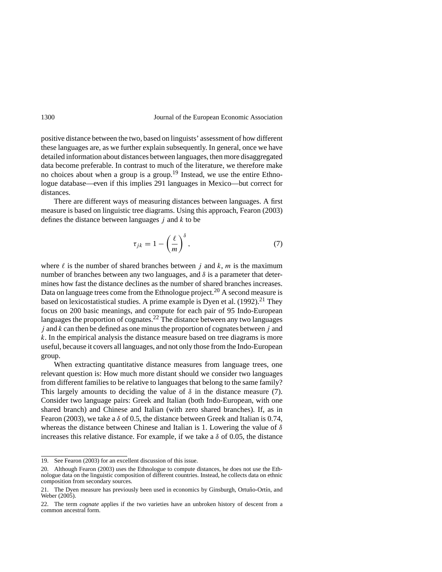positive distance between the two, based on linguists' assessment of how different these languages are, as we further explain subsequently. In general, once we have detailed information about distances between languages, then more disaggregated data become preferable. In contrast to much of the literature, we therefore make no choices about when a group is a group.<sup>19</sup> Instead, we use the entire Ethnologue database—even if this implies 291 languages in Mexico—but correct for distances.

There are different ways of measuring distances between languages. A first measure is based on linguistic tree diagrams. Using this approach, Fearon (2003) defines the distance between languages *j* and *k* to be

$$
\tau_{jk} = 1 - \left(\frac{\ell}{m}\right)^{\delta},\tag{7}
$$

where  $\ell$  is the number of shared branches between *j* and *k*, *m* is the maximum number of branches between any two languages, and  $\delta$  is a parameter that determines how fast the distance declines as the number of shared branches increases. Data on language trees come from the Ethnologue project.<sup>20</sup> A second measure is based on lexicostatistical studies. A prime example is Dyen et al.  $(1992).^{21}$  They focus on 200 basic meanings, and compute for each pair of 95 Indo-European languages the proportion of cognates.<sup>22</sup> The distance between any two languages *j* and *k* can then be defined as one minus the proportion of cognates between *j* and *k*. In the empirical analysis the distance measure based on tree diagrams is more useful, because it covers all languages, and not only those from the Indo-European group.

When extracting quantitative distance measures from language trees, one relevant question is: How much more distant should we consider two languages from different families to be relative to languages that belong to the same family? This largely amounts to deciding the value of  $\delta$  in the distance measure (7). Consider two language pairs: Greek and Italian (both Indo-European, with one shared branch) and Chinese and Italian (with zero shared branches). If, as in Fearon (2003), we take a *δ* of 0.5, the distance between Greek and Italian is 0.74, whereas the distance between Chinese and Italian is 1. Lowering the value of *δ* increases this relative distance. For example, if we take a  $\delta$  of 0.05, the distance

<sup>19.</sup> See Fearon (2003) for an excellent discussion of this issue.

<sup>20.</sup> Although Fearon (2003) uses the Ethnologue to compute distances, he does not use the Ethnologue data on the linguistic composition of different countries. Instead, he collects data on ethnic composition from secondary sources.

<sup>21.</sup> The Dyen measure has previously been used in economics by Ginsburgh, Ortuno-Ortín, and ˜ Weber (2005).

<sup>22.</sup> The term *cognate* applies if the two varieties have an unbroken history of descent from a common ancestral form.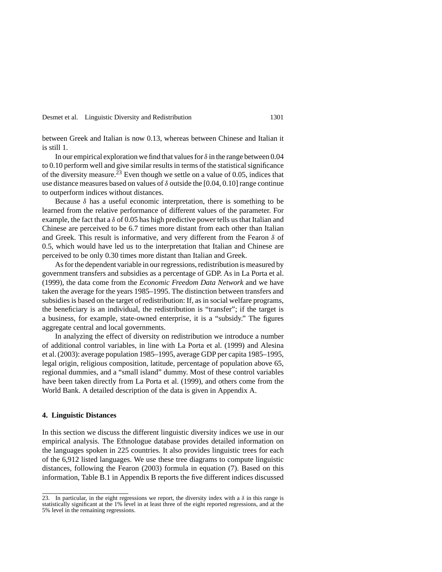between Greek and Italian is now 0.13, whereas between Chinese and Italian it is still 1.

In our empirical exploration we find that values for  $\delta$  in the range between 0.04 to 0.10 perform well and give similar results in terms of the statistical significance of the diversity measure.<sup>23</sup> Even though we settle on a value of 0.05, indices that use distance measures based on values of  $\delta$  outside the [0.04, 0.10] range continue to outperform indices without distances.

Because  $\delta$  has a useful economic interpretation, there is something to be learned from the relative performance of different values of the parameter. For example, the fact that a *δ* of 0.05 has high predictive power tells us that Italian and Chinese are perceived to be 6.7 times more distant from each other than Italian and Greek. This result is informative, and very different from the Fearon *δ* of 0.5, which would have led us to the interpretation that Italian and Chinese are perceived to be only 0.30 times more distant than Italian and Greek.

As for the dependent variable in our regressions, redistribution is measured by government transfers and subsidies as a percentage of GDP. As in La Porta et al. (1999), the data come from the *Economic Freedom Data Network* and we have taken the average for the years 1985–1995. The distinction between transfers and subsidies is based on the target of redistribution: If, as in social welfare programs, the beneficiary is an individual, the redistribution is "transfer"; if the target is a business, for example, state-owned enterprise, it is a "subsidy." The figures aggregate central and local governments.

In analyzing the effect of diversity on redistribution we introduce a number of additional control variables, in line with La Porta et al. (1999) and Alesina et al. (2003): average population 1985–1995, average GDP per capita 1985–1995, legal origin, religious composition, latitude, percentage of population above 65, regional dummies, and a "small island" dummy. Most of these control variables have been taken directly from La Porta et al. (1999), and others come from the World Bank. A detailed description of the data is given in Appendix A.

#### **4. Linguistic Distances**

In this section we discuss the different linguistic diversity indices we use in our empirical analysis. The Ethnologue database provides detailed information on the languages spoken in 225 countries. It also provides linguistic trees for each of the 6,912 listed languages. We use these tree diagrams to compute linguistic distances, following the Fearon (2003) formula in equation (7). Based on this information, Table B.1 in Appendix B reports the five different indices discussed

<sup>23.</sup> In particular, in the eight regressions we report, the diversity index with a  $\delta$  in this range is statistically significant at the 1% level in at least three of the eight reported regressions, and at the 5% level in the remaining regressions.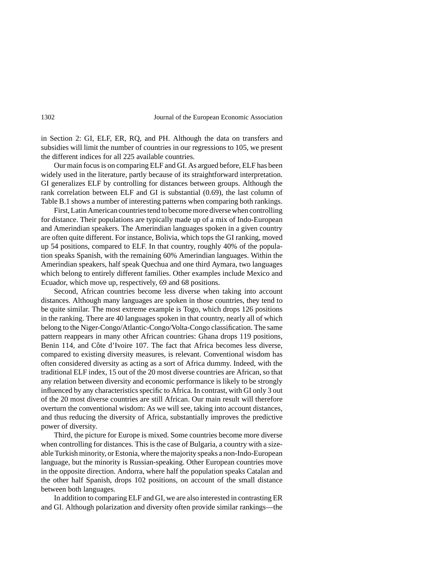in Section 2: GI, ELF, ER, RQ, and PH. Although the data on transfers and subsidies will limit the number of countries in our regressions to 105, we present the different indices for all 225 available countries.

Our main focus is on comparing ELF and GI. As argued before, ELF has been widely used in the literature, partly because of its straightforward interpretation. GI generalizes ELF by controlling for distances between groups. Although the rank correlation between ELF and GI is substantial (0.69), the last column of Table B.1 shows a number of interesting patterns when comparing both rankings.

First, Latin American countries tend to become more diverse when controlling for distance. Their populations are typically made up of a mix of Indo-European and Amerindian speakers. The Amerindian languages spoken in a given country are often quite different. For instance, Bolivia, which tops the GI ranking, moved up 54 positions, compared to ELF. In that country, roughly 40% of the population speaks Spanish, with the remaining 60% Amerindian languages. Within the Amerindian speakers, half speak Quechua and one third Aymara, two languages which belong to entirely different families. Other examples include Mexico and Ecuador, which move up, respectively, 69 and 68 positions.

Second, African countries become less diverse when taking into account distances. Although many languages are spoken in those countries, they tend to be quite similar. The most extreme example is Togo, which drops 126 positions in the ranking. There are 40 languages spoken in that country, nearly all of which belong to the Niger-Congo/Atlantic-Congo/Volta-Congo classification. The same pattern reappears in many other African countries: Ghana drops 119 positions, Benin 114, and Côte d'Ivoire 107. The fact that Africa becomes less diverse, compared to existing diversity measures, is relevant. Conventional wisdom has often considered diversity as acting as a sort of Africa dummy. Indeed, with the traditional ELF index, 15 out of the 20 most diverse countries are African, so that any relation between diversity and economic performance is likely to be strongly influenced by any characteristics specific to Africa. In contrast, with GI only 3 out of the 20 most diverse countries are still African. Our main result will therefore overturn the conventional wisdom: As we will see, taking into account distances, and thus reducing the diversity of Africa, substantially improves the predictive power of diversity.

Third, the picture for Europe is mixed. Some countries become more diverse when controlling for distances. This is the case of Bulgaria, a country with a sizeable Turkish minority, or Estonia, where the majority speaks a non-Indo-European language, but the minority is Russian-speaking. Other European countries move in the opposite direction. Andorra, where half the population speaks Catalan and the other half Spanish, drops 102 positions, on account of the small distance between both languages.

In addition to comparing ELF and GI, we are also interested in contrasting ER and GI. Although polarization and diversity often provide similar rankings—the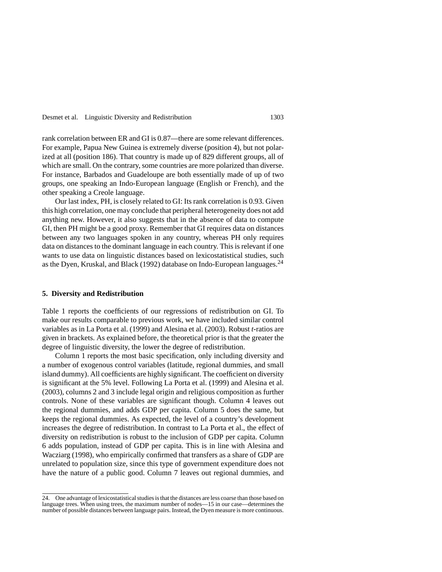rank correlation between ER and GI is 0.87—there are some relevant differences. For example, Papua New Guinea is extremely diverse (position 4), but not polarized at all (position 186). That country is made up of 829 different groups, all of which are small. On the contrary, some countries are more polarized than diverse. For instance, Barbados and Guadeloupe are both essentially made of up of two groups, one speaking an Indo-European language (English or French), and the other speaking a Creole language.

Our last index, PH, is closely related to GI: Its rank correlation is 0.93. Given this high correlation, one may conclude that peripheral heterogeneity does not add anything new. However, it also suggests that in the absence of data to compute GI, then PH might be a good proxy. Remember that GI requires data on distances between any two languages spoken in any country, whereas PH only requires data on distances to the dominant language in each country. This is relevant if one wants to use data on linguistic distances based on lexicostatistical studies, such as the Dyen, Kruskal, and Black (1992) database on Indo-European languages.<sup>24</sup>

#### **5. Diversity and Redistribution**

Table 1 reports the coefficients of our regressions of redistribution on GI. To make our results comparable to previous work, we have included similar control variables as in La Porta et al. (1999) and Alesina et al. (2003). Robust *t*-ratios are given in brackets. As explained before, the theoretical prior is that the greater the degree of linguistic diversity, the lower the degree of redistribution.

Column 1 reports the most basic specification, only including diversity and a number of exogenous control variables (latitude, regional dummies, and small island dummy). All coefficients are highly significant. The coefficient on diversity is significant at the 5% level. Following La Porta et al. (1999) and Alesina et al. (2003), columns 2 and 3 include legal origin and religious composition as further controls. None of these variables are significant though. Column 4 leaves out the regional dummies, and adds GDP per capita. Column 5 does the same, but keeps the regional dummies. As expected, the level of a country's development increases the degree of redistribution. In contrast to La Porta et al., the effect of diversity on redistribution is robust to the inclusion of GDP per capita. Column 6 adds population, instead of GDP per capita. This is in line with Alesina and Wacziarg (1998), who empirically confirmed that transfers as a share of GDP are unrelated to population size, since this type of government expenditure does not have the nature of a public good. Column 7 leaves out regional dummies, and

<sup>24.</sup> One advantage of lexicostatistical studies is that the distances are less coarse than those based on language trees. When using trees, the maximum number of nodes—15 in our case—determines the number of possible distances between language pairs. Instead, the Dyen measure is more continuous.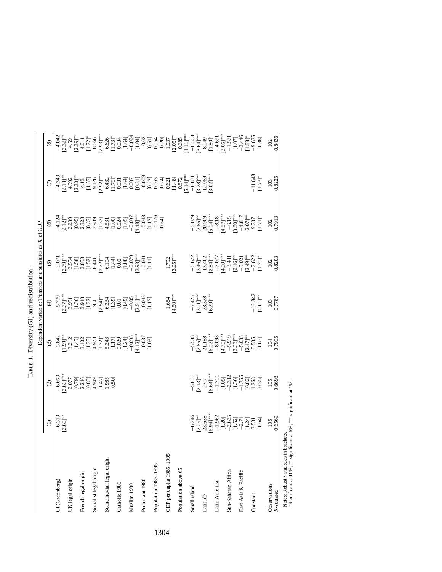| .<br>Est                      |
|-------------------------------|
| $\sim$<br>į                   |
|                               |
|                               |
| $\frac{1}{2}$<br>$\mathsf{E}$ |

|                                                                                                              |                                                                                                                                                                                                                                                                                                                                                         |                                                                                                                                                                                                |                                                                                                                                                                                                                                                                                                                                                                                               | Dependent variable: Transfers and subsidies as % of GDP                                                                                                                                                                                                                                                                                                                                                      |                                                                                                                                                                                                                                                                                                                                                   |                                                                                                                                                                                                                                                                                                                                                                                                                                                                                             |                      |                      |
|--------------------------------------------------------------------------------------------------------------|---------------------------------------------------------------------------------------------------------------------------------------------------------------------------------------------------------------------------------------------------------------------------------------------------------------------------------------------------------|------------------------------------------------------------------------------------------------------------------------------------------------------------------------------------------------|-----------------------------------------------------------------------------------------------------------------------------------------------------------------------------------------------------------------------------------------------------------------------------------------------------------------------------------------------------------------------------------------------|--------------------------------------------------------------------------------------------------------------------------------------------------------------------------------------------------------------------------------------------------------------------------------------------------------------------------------------------------------------------------------------------------------------|---------------------------------------------------------------------------------------------------------------------------------------------------------------------------------------------------------------------------------------------------------------------------------------------------------------------------------------------------|---------------------------------------------------------------------------------------------------------------------------------------------------------------------------------------------------------------------------------------------------------------------------------------------------------------------------------------------------------------------------------------------------------------------------------------------------------------------------------------------|----------------------|----------------------|
|                                                                                                              |                                                                                                                                                                                                                                                                                                                                                         | $\widehat{c}$                                                                                                                                                                                  | $\odot$                                                                                                                                                                                                                                                                                                                                                                                       | $\bigoplus$                                                                                                                                                                                                                                                                                                                                                                                                  | $\odot$                                                                                                                                                                                                                                                                                                                                           | $\odot$                                                                                                                                                                                                                                                                                                                                                                                                                                                                                     |                      | $\circledcirc$       |
| GI (Greenberg)                                                                                               |                                                                                                                                                                                                                                                                                                                                                         |                                                                                                                                                                                                |                                                                                                                                                                                                                                                                                                                                                                                               |                                                                                                                                                                                                                                                                                                                                                                                                              |                                                                                                                                                                                                                                                                                                                                                   |                                                                                                                                                                                                                                                                                                                                                                                                                                                                                             |                      |                      |
|                                                                                                              | $-6.313$<br>[2.60]**                                                                                                                                                                                                                                                                                                                                    |                                                                                                                                                                                                |                                                                                                                                                                                                                                                                                                                                                                                               |                                                                                                                                                                                                                                                                                                                                                                                                              |                                                                                                                                                                                                                                                                                                                                                   |                                                                                                                                                                                                                                                                                                                                                                                                                                                                                             |                      |                      |
| UK legal origin                                                                                              |                                                                                                                                                                                                                                                                                                                                                         |                                                                                                                                                                                                |                                                                                                                                                                                                                                                                                                                                                                                               |                                                                                                                                                                                                                                                                                                                                                                                                              |                                                                                                                                                                                                                                                                                                                                                   |                                                                                                                                                                                                                                                                                                                                                                                                                                                                                             |                      |                      |
|                                                                                                              |                                                                                                                                                                                                                                                                                                                                                         |                                                                                                                                                                                                |                                                                                                                                                                                                                                                                                                                                                                                               |                                                                                                                                                                                                                                                                                                                                                                                                              |                                                                                                                                                                                                                                                                                                                                                   |                                                                                                                                                                                                                                                                                                                                                                                                                                                                                             |                      |                      |
| French legal origin                                                                                          |                                                                                                                                                                                                                                                                                                                                                         |                                                                                                                                                                                                |                                                                                                                                                                                                                                                                                                                                                                                               |                                                                                                                                                                                                                                                                                                                                                                                                              |                                                                                                                                                                                                                                                                                                                                                   |                                                                                                                                                                                                                                                                                                                                                                                                                                                                                             |                      |                      |
| Socialist legal origin                                                                                       |                                                                                                                                                                                                                                                                                                                                                         | $-6.663$<br>$-2.077$<br>$-2.079$<br>$-2.079$<br>$-2.49$<br>$-2.49$<br>$-1.59$<br>$-1.59$<br>$-1.59$<br>$-1.59$<br>$-1.59$                                                                      |                                                                                                                                                                                                                                                                                                                                                                                               |                                                                                                                                                                                                                                                                                                                                                                                                              |                                                                                                                                                                                                                                                                                                                                                   |                                                                                                                                                                                                                                                                                                                                                                                                                                                                                             |                      |                      |
|                                                                                                              |                                                                                                                                                                                                                                                                                                                                                         |                                                                                                                                                                                                |                                                                                                                                                                                                                                                                                                                                                                                               |                                                                                                                                                                                                                                                                                                                                                                                                              |                                                                                                                                                                                                                                                                                                                                                   |                                                                                                                                                                                                                                                                                                                                                                                                                                                                                             |                      |                      |
| Scandinavian legal origin                                                                                    |                                                                                                                                                                                                                                                                                                                                                         |                                                                                                                                                                                                |                                                                                                                                                                                                                                                                                                                                                                                               |                                                                                                                                                                                                                                                                                                                                                                                                              |                                                                                                                                                                                                                                                                                                                                                   |                                                                                                                                                                                                                                                                                                                                                                                                                                                                                             |                      |                      |
| Catholic 1980                                                                                                |                                                                                                                                                                                                                                                                                                                                                         |                                                                                                                                                                                                |                                                                                                                                                                                                                                                                                                                                                                                               |                                                                                                                                                                                                                                                                                                                                                                                                              |                                                                                                                                                                                                                                                                                                                                                   |                                                                                                                                                                                                                                                                                                                                                                                                                                                                                             |                      |                      |
| Muslim 1980                                                                                                  |                                                                                                                                                                                                                                                                                                                                                         |                                                                                                                                                                                                | $\begin{array}{l} \gamma_{3,4}^{3,0} \\ \gamma_{1,1}^{3,0} \\ \gamma_{2,2}^{3,0} \\ \gamma_{3,3}^{3,1} \\ \gamma_{4,1}^{3,0} \\ \gamma_{5,2}^{3,0} \\ \gamma_{6,3}^{3,0} \\ \gamma_{7,4}^{3,0} \\ \gamma_{8,4}^{3,0} \\ \gamma_{9,5}^{3,0} \\ \gamma_{1,6}^{3,0} \\ \gamma_{1,7}^{3,0} \\ \gamma_{1,8}^{3,0} \\ \gamma_{1,1}^{3,0} \\ \gamma_{1,1}^{3,0} \\ \gamma_{1,1}^{3,0} \\ \gamma_{1,$ | $\begin{array}{r} \left(-5.77\right)_{\ast}^{*} \left(-1.77\right)_{\ast}^{*} \left(-1.77\right)_{\ast}^{*} \left(-1.77\right)_{\ast}^{*} \left(-1.77\right)_{\ast}^{*} \left(-1.77\right)_{\ast}^{*} \left(-1.77\right)_{\ast}^{*} \left(-1.77\right)_{\ast}^{*} \left(-1.77\right)_{\ast}^{*} \left(-1.77\right)_{\ast}^{*} \left(-1.77\right)_{\ast}^{*} \left(-1.77\right)_{\ast}^{*} \left(-1.77\right$ | $\begin{array}{r} -5.071 \\ -5.079 \\ -2.09 \\ -1.58 \\ -1.58 \\ -1.58 \\ -1.58 \\ -1.59 \\ -1.59 \\ -1.59 \\ -1.59 \\ -1.59 \\ -1.59 \\ -1.59 \\ -1.59 \\ -1.59 \\ -1.59 \\ -1.59 \\ -1.11 \\ -1.11 \\ -1.11 \\ -1.11 \\ -1.11 \\ -1.11 \\ -1.11 \\ -1.11 \\ -1.11 \\ -1.11 \\ -1.11 \\ -1.11 \\ -1.11 \\ -1.11 \\ -1.11 \\ -1.11 \\ -1.11 \\ -$ | $\begin{array}{l} 11\overline{11}\overline{11}\overline{11}\overline{11}\overline{11}\overline{11}\overline{11}\overline{11}\overline{11}\overline{11}\overline{11}\overline{11}\overline{11}\overline{11}\overline{11}\overline{11}\overline{11}\overline{11}\overline{11}\overline{11}\overline{11}\overline{11}\overline{11}\overline{11}\overline{11}\overline{11}\overline{11}\overline{11}\overline{11}\overline{11}\overline{11}\overline{11}\overline{11}\overline{11}\overline{11$ |                      |                      |
|                                                                                                              |                                                                                                                                                                                                                                                                                                                                                         |                                                                                                                                                                                                |                                                                                                                                                                                                                                                                                                                                                                                               |                                                                                                                                                                                                                                                                                                                                                                                                              |                                                                                                                                                                                                                                                                                                                                                   |                                                                                                                                                                                                                                                                                                                                                                                                                                                                                             |                      |                      |
| Protestant 1980                                                                                              |                                                                                                                                                                                                                                                                                                                                                         |                                                                                                                                                                                                |                                                                                                                                                                                                                                                                                                                                                                                               |                                                                                                                                                                                                                                                                                                                                                                                                              |                                                                                                                                                                                                                                                                                                                                                   |                                                                                                                                                                                                                                                                                                                                                                                                                                                                                             |                      |                      |
| Population 1985-1995                                                                                         |                                                                                                                                                                                                                                                                                                                                                         |                                                                                                                                                                                                |                                                                                                                                                                                                                                                                                                                                                                                               |                                                                                                                                                                                                                                                                                                                                                                                                              |                                                                                                                                                                                                                                                                                                                                                   |                                                                                                                                                                                                                                                                                                                                                                                                                                                                                             |                      |                      |
|                                                                                                              |                                                                                                                                                                                                                                                                                                                                                         |                                                                                                                                                                                                |                                                                                                                                                                                                                                                                                                                                                                                               |                                                                                                                                                                                                                                                                                                                                                                                                              |                                                                                                                                                                                                                                                                                                                                                   |                                                                                                                                                                                                                                                                                                                                                                                                                                                                                             |                      |                      |
| GDP per capita 1985-1995                                                                                     |                                                                                                                                                                                                                                                                                                                                                         |                                                                                                                                                                                                |                                                                                                                                                                                                                                                                                                                                                                                               | $1.684$<br>[4.50]***                                                                                                                                                                                                                                                                                                                                                                                         | $1.792$<br>[3.95]***                                                                                                                                                                                                                                                                                                                              |                                                                                                                                                                                                                                                                                                                                                                                                                                                                                             |                      |                      |
|                                                                                                              |                                                                                                                                                                                                                                                                                                                                                         |                                                                                                                                                                                                |                                                                                                                                                                                                                                                                                                                                                                                               |                                                                                                                                                                                                                                                                                                                                                                                                              |                                                                                                                                                                                                                                                                                                                                                   |                                                                                                                                                                                                                                                                                                                                                                                                                                                                                             |                      |                      |
| Population above 65                                                                                          |                                                                                                                                                                                                                                                                                                                                                         |                                                                                                                                                                                                |                                                                                                                                                                                                                                                                                                                                                                                               |                                                                                                                                                                                                                                                                                                                                                                                                              |                                                                                                                                                                                                                                                                                                                                                   |                                                                                                                                                                                                                                                                                                                                                                                                                                                                                             |                      |                      |
| Small island                                                                                                 |                                                                                                                                                                                                                                                                                                                                                         |                                                                                                                                                                                                |                                                                                                                                                                                                                                                                                                                                                                                               |                                                                                                                                                                                                                                                                                                                                                                                                              |                                                                                                                                                                                                                                                                                                                                                   |                                                                                                                                                                                                                                                                                                                                                                                                                                                                                             |                      |                      |
| Latitude                                                                                                     |                                                                                                                                                                                                                                                                                                                                                         |                                                                                                                                                                                                |                                                                                                                                                                                                                                                                                                                                                                                               | $\frac{-7.425}{[3.01]^{***}}$<br>[3.01]***<br>23.328<br>[6.29]***                                                                                                                                                                                                                                                                                                                                            |                                                                                                                                                                                                                                                                                                                                                   |                                                                                                                                                                                                                                                                                                                                                                                                                                                                                             |                      |                      |
|                                                                                                              |                                                                                                                                                                                                                                                                                                                                                         |                                                                                                                                                                                                |                                                                                                                                                                                                                                                                                                                                                                                               |                                                                                                                                                                                                                                                                                                                                                                                                              |                                                                                                                                                                                                                                                                                                                                                   |                                                                                                                                                                                                                                                                                                                                                                                                                                                                                             |                      |                      |
| Latin America                                                                                                |                                                                                                                                                                                                                                                                                                                                                         |                                                                                                                                                                                                |                                                                                                                                                                                                                                                                                                                                                                                               |                                                                                                                                                                                                                                                                                                                                                                                                              |                                                                                                                                                                                                                                                                                                                                                   |                                                                                                                                                                                                                                                                                                                                                                                                                                                                                             |                      |                      |
| Sub-Saharan Africa                                                                                           |                                                                                                                                                                                                                                                                                                                                                         |                                                                                                                                                                                                |                                                                                                                                                                                                                                                                                                                                                                                               |                                                                                                                                                                                                                                                                                                                                                                                                              |                                                                                                                                                                                                                                                                                                                                                   |                                                                                                                                                                                                                                                                                                                                                                                                                                                                                             |                      |                      |
| East Asia & Pacific                                                                                          |                                                                                                                                                                                                                                                                                                                                                         |                                                                                                                                                                                                |                                                                                                                                                                                                                                                                                                                                                                                               |                                                                                                                                                                                                                                                                                                                                                                                                              |                                                                                                                                                                                                                                                                                                                                                   |                                                                                                                                                                                                                                                                                                                                                                                                                                                                                             |                      |                      |
| Constant                                                                                                     | $\begin{array}{l} \begin{array}{l} 46.24 \\ -0.29 \\ \pm 0.03 \\ \pm 0.03 \\ \pm 0.03 \\ \pm 0.03 \\ \pm 0.03 \\ \pm 0.03 \\ \pm 0.03 \\ \pm 0.03 \\ \pm 0.03 \\ \pm 0.03 \\ \pm 0.03 \\ \pm 0.03 \\ \pm 0.03 \\ \pm 0.03 \\ \pm 0.03 \\ \pm 0.03 \\ \pm 0.03 \\ \pm 0.03 \\ \pm 0.03 \\ \pm 0.03 \\ \pm 0.03 \\ \pm 0.03 \\ \pm 0.03 \\ \pm 0.03 \\ \$ | $\begin{array}{r} -5.811 \\ -5.811 \\ 27.7 \\ 27.7 \\ -1.711 \\ -1.71 \\ -1.38 \\ -1.36 \\ -1.75 \\ -1.75 \\ -1.75 \\ -1.75 \\ -1.75 \\ -1.75 \\ -1.26 \\ 0.35 \\ 1.26 \\ 0.35 \\ \end{array}$ | $\begin{array}{r} -5.538 \\ [2.55]^{**} \\ [2.1188] \\ [2.02]^{***} \\ [2.02]^{***} \\ [-8.098] \\ [-1.75]^{***} \\ [-5.03]^{***} \\ [-5.033] \\ [-2.17]^{**} \\ [-2.535] \\ [-1.05] \\ [-1.05] \\ [-1.05] \end{array}$                                                                                                                                                                       | $-12.842$<br>[2.61]**                                                                                                                                                                                                                                                                                                                                                                                        | $\begin{array}{r} -6.672 \\ -6.46^{***} \\ 13.402 \\ 13.403 \\ -7.071 \\ -7.071 \\ -1.501 \\ -1.501 \\ -1.621 \\ -1.622 \\ -1.622 \\ -1.622 \\ -1.623 \\ -1.624 \\ -1.622 \\ -1.623 \\ -1.624 \\ -1.624 \\ -1.624 \\ -1.624 \\ -1.624 \\ -1.624 \\ -1.624 \\ -1.624 \\ -1.624 \\ -1.624 \\ -1.624 \\ -1.624 \\ -1.624 \\ -1.624$                  | $\begin{array}{r} -6.079 \\ [2.55]^{**} \\ [2.69]^{**} \\ [2.69]^{**} \\ [2.60]^{**} \\ [2.60]^{**} \\ [-8.18]^{**} \\ [-1.87]^{**} \\ [-1.81]^{**} \\ [-1.01]^{**} \\ [-2.81]^{**} \\ [-1.71]^{**} \\ [-1.71]^{**} \\ [-1.71]^{**} \end{array}$                                                                                                                                                                                                                                            | $-11.648$<br>[1.73]* |                      |
| Observations<br>R-squared                                                                                    | 105<br>0.6569                                                                                                                                                                                                                                                                                                                                           | $\frac{105}{0.6693}$                                                                                                                                                                           | $104$<br>0.7905                                                                                                                                                                                                                                                                                                                                                                               | $\frac{103}{0.7787}$                                                                                                                                                                                                                                                                                                                                                                                         | $\frac{102}{0.8203}$                                                                                                                                                                                                                                                                                                                              | $\frac{102}{0.7913}$                                                                                                                                                                                                                                                                                                                                                                                                                                                                        | 103<br>0.8225        | $\frac{102}{0.8436}$ |
| "Significant at 10%; ** significant at 5%; *** significant at 1%.<br>Notes: Robust t-statistics in brackets. |                                                                                                                                                                                                                                                                                                                                                         |                                                                                                                                                                                                |                                                                                                                                                                                                                                                                                                                                                                                               |                                                                                                                                                                                                                                                                                                                                                                                                              |                                                                                                                                                                                                                                                                                                                                                   |                                                                                                                                                                                                                                                                                                                                                                                                                                                                                             |                      |                      |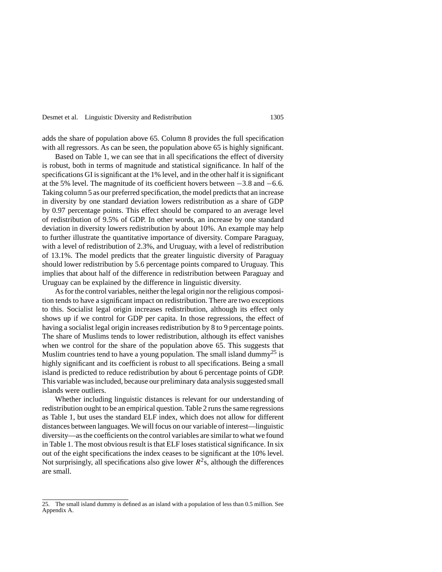adds the share of population above 65. Column 8 provides the full specification with all regressors. As can be seen, the population above 65 is highly significant.

Based on Table 1, we can see that in all specifications the effect of diversity is robust, both in terms of magnitude and statistical significance. In half of the specifications GI is significant at the 1% level, and in the other half it is significant at the 5% level. The magnitude of its coefficient hovers between −3*.*8 and −6*.*6. Taking column 5 as our preferred specification, the model predicts that an increase in diversity by one standard deviation lowers redistribution as a share of GDP by 0.97 percentage points. This effect should be compared to an average level of redistribution of 9.5% of GDP. In other words, an increase by one standard deviation in diversity lowers redistribution by about 10%. An example may help to further illustrate the quantitative importance of diversity. Compare Paraguay, with a level of redistribution of 2.3%, and Uruguay, with a level of redistribution of 13.1%. The model predicts that the greater linguistic diversity of Paraguay should lower redistribution by 5.6 percentage points compared to Uruguay. This implies that about half of the difference in redistribution between Paraguay and Uruguay can be explained by the difference in linguistic diversity.

As for the control variables, neither the legal origin nor the religious composition tends to have a significant impact on redistribution. There are two exceptions to this. Socialist legal origin increases redistribution, although its effect only shows up if we control for GDP per capita. In those regressions, the effect of having a socialist legal origin increases redistribution by 8 to 9 percentage points. The share of Muslims tends to lower redistribution, although its effect vanishes when we control for the share of the population above 65. This suggests that Muslim countries tend to have a young population. The small island dummy<sup>25</sup> is highly significant and its coefficient is robust to all specifications. Being a small island is predicted to reduce redistribution by about 6 percentage points of GDP. This variable was included, because our preliminary data analysis suggested small islands were outliers.

Whether including linguistic distances is relevant for our understanding of redistribution ought to be an empirical question. Table 2 runs the same regressions as Table 1, but uses the standard ELF index, which does not allow for different distances between languages. We will focus on our variable of interest—linguistic diversity—as the coefficients on the control variables are similar to what we found in Table 1. The most obvious result is that ELF loses statistical significance. In six out of the eight specifications the index ceases to be significant at the 10% level. Not surprisingly, all specifications also give lower  $R^2$ s, although the differences are small.

<sup>25.</sup> The small island dummy is defined as an island with a population of less than 0.5 million. See Appendix A.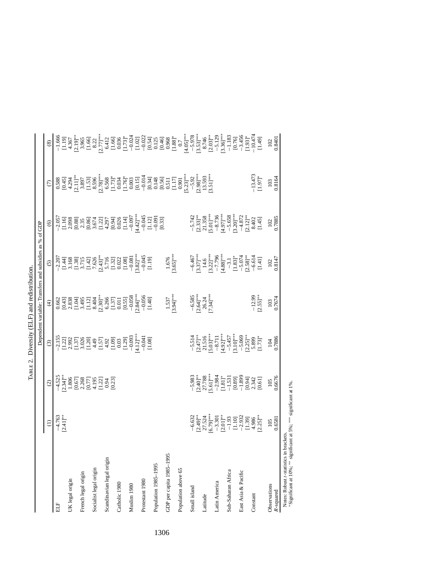|                                                                                                              |                                                                                                                                                                                                                                                                                                                                                                                                                                                                                                                 |                                                                                                                                                                                                                                                                                                                                                   |                                                                                                                                                                                                                                                                                                                                                  |                                                                                                                                                                                                                                                                                                     | Dependent variable: Transfers and subsidies as % of GDP                                                                                                                                                                                                                                                                                          |                                                                                                                                                                                                                                                                                                                                                                                                                            |                                                                                                                                                                                                                                                                                                               |                                                                                                                                                                                                                                                                                                                                 |
|--------------------------------------------------------------------------------------------------------------|-----------------------------------------------------------------------------------------------------------------------------------------------------------------------------------------------------------------------------------------------------------------------------------------------------------------------------------------------------------------------------------------------------------------------------------------------------------------------------------------------------------------|---------------------------------------------------------------------------------------------------------------------------------------------------------------------------------------------------------------------------------------------------------------------------------------------------------------------------------------------------|--------------------------------------------------------------------------------------------------------------------------------------------------------------------------------------------------------------------------------------------------------------------------------------------------------------------------------------------------|-----------------------------------------------------------------------------------------------------------------------------------------------------------------------------------------------------------------------------------------------------------------------------------------------------|--------------------------------------------------------------------------------------------------------------------------------------------------------------------------------------------------------------------------------------------------------------------------------------------------------------------------------------------------|----------------------------------------------------------------------------------------------------------------------------------------------------------------------------------------------------------------------------------------------------------------------------------------------------------------------------------------------------------------------------------------------------------------------------|---------------------------------------------------------------------------------------------------------------------------------------------------------------------------------------------------------------------------------------------------------------------------------------------------------------|---------------------------------------------------------------------------------------------------------------------------------------------------------------------------------------------------------------------------------------------------------------------------------------------------------------------------------|
|                                                                                                              |                                                                                                                                                                                                                                                                                                                                                                                                                                                                                                                 | $\odot$                                                                                                                                                                                                                                                                                                                                           | $\odot$                                                                                                                                                                                                                                                                                                                                          | $\bigoplus$                                                                                                                                                                                                                                                                                         | $\odot$                                                                                                                                                                                                                                                                                                                                          | $\widehat{\mathbf{e}}$                                                                                                                                                                                                                                                                                                                                                                                                     |                                                                                                                                                                                                                                                                                                               |                                                                                                                                                                                                                                                                                                                                 |
| 日                                                                                                            |                                                                                                                                                                                                                                                                                                                                                                                                                                                                                                                 |                                                                                                                                                                                                                                                                                                                                                   |                                                                                                                                                                                                                                                                                                                                                  |                                                                                                                                                                                                                                                                                                     |                                                                                                                                                                                                                                                                                                                                                  |                                                                                                                                                                                                                                                                                                                                                                                                                            |                                                                                                                                                                                                                                                                                                               |                                                                                                                                                                                                                                                                                                                                 |
|                                                                                                              | $-4.763$<br>2.41]**                                                                                                                                                                                                                                                                                                                                                                                                                                                                                             | $\begin{array}{r} -4.525 \\ -2.34] \text{*} \\ 1.806 \\ -1.806 \\ -2.067 \\ -1.95 \\ -1.95 \\ -1.95 \\ -1.94 \\ -1.95 \\ -1.03 \\ -1.03 \\ -1.03 \\ -1.03 \\ -1.03 \\ -1.03 \\ -1.03 \\ -1.03 \\ -1.03 \\ -1.03 \\ -1.03 \\ -1.03 \\ -1.03 \\ -1.03 \\ -1.03 \\ -1.03 \\ -1.03 \\ -1.03 \\ -1.03 \\ -1.03 \\ -1.03 \\ -1.03 \\ -1.03 \\ -1.03 \\$ |                                                                                                                                                                                                                                                                                                                                                  |                                                                                                                                                                                                                                                                                                     |                                                                                                                                                                                                                                                                                                                                                  |                                                                                                                                                                                                                                                                                                                                                                                                                            |                                                                                                                                                                                                                                                                                                               |                                                                                                                                                                                                                                                                                                                                 |
| UK legal origin                                                                                              |                                                                                                                                                                                                                                                                                                                                                                                                                                                                                                                 |                                                                                                                                                                                                                                                                                                                                                   |                                                                                                                                                                                                                                                                                                                                                  |                                                                                                                                                                                                                                                                                                     |                                                                                                                                                                                                                                                                                                                                                  |                                                                                                                                                                                                                                                                                                                                                                                                                            |                                                                                                                                                                                                                                                                                                               |                                                                                                                                                                                                                                                                                                                                 |
|                                                                                                              |                                                                                                                                                                                                                                                                                                                                                                                                                                                                                                                 |                                                                                                                                                                                                                                                                                                                                                   |                                                                                                                                                                                                                                                                                                                                                  |                                                                                                                                                                                                                                                                                                     |                                                                                                                                                                                                                                                                                                                                                  |                                                                                                                                                                                                                                                                                                                                                                                                                            |                                                                                                                                                                                                                                                                                                               |                                                                                                                                                                                                                                                                                                                                 |
| French legal origin                                                                                          |                                                                                                                                                                                                                                                                                                                                                                                                                                                                                                                 |                                                                                                                                                                                                                                                                                                                                                   |                                                                                                                                                                                                                                                                                                                                                  |                                                                                                                                                                                                                                                                                                     |                                                                                                                                                                                                                                                                                                                                                  |                                                                                                                                                                                                                                                                                                                                                                                                                            |                                                                                                                                                                                                                                                                                                               |                                                                                                                                                                                                                                                                                                                                 |
| Socialist legal origin                                                                                       |                                                                                                                                                                                                                                                                                                                                                                                                                                                                                                                 |                                                                                                                                                                                                                                                                                                                                                   |                                                                                                                                                                                                                                                                                                                                                  |                                                                                                                                                                                                                                                                                                     |                                                                                                                                                                                                                                                                                                                                                  |                                                                                                                                                                                                                                                                                                                                                                                                                            |                                                                                                                                                                                                                                                                                                               |                                                                                                                                                                                                                                                                                                                                 |
|                                                                                                              |                                                                                                                                                                                                                                                                                                                                                                                                                                                                                                                 |                                                                                                                                                                                                                                                                                                                                                   |                                                                                                                                                                                                                                                                                                                                                  |                                                                                                                                                                                                                                                                                                     |                                                                                                                                                                                                                                                                                                                                                  |                                                                                                                                                                                                                                                                                                                                                                                                                            |                                                                                                                                                                                                                                                                                                               |                                                                                                                                                                                                                                                                                                                                 |
| Scandinavian legal origin                                                                                    |                                                                                                                                                                                                                                                                                                                                                                                                                                                                                                                 |                                                                                                                                                                                                                                                                                                                                                   |                                                                                                                                                                                                                                                                                                                                                  |                                                                                                                                                                                                                                                                                                     |                                                                                                                                                                                                                                                                                                                                                  |                                                                                                                                                                                                                                                                                                                                                                                                                            |                                                                                                                                                                                                                                                                                                               |                                                                                                                                                                                                                                                                                                                                 |
|                                                                                                              |                                                                                                                                                                                                                                                                                                                                                                                                                                                                                                                 |                                                                                                                                                                                                                                                                                                                                                   |                                                                                                                                                                                                                                                                                                                                                  |                                                                                                                                                                                                                                                                                                     |                                                                                                                                                                                                                                                                                                                                                  |                                                                                                                                                                                                                                                                                                                                                                                                                            |                                                                                                                                                                                                                                                                                                               |                                                                                                                                                                                                                                                                                                                                 |
| Catholic 1980                                                                                                |                                                                                                                                                                                                                                                                                                                                                                                                                                                                                                                 |                                                                                                                                                                                                                                                                                                                                                   |                                                                                                                                                                                                                                                                                                                                                  |                                                                                                                                                                                                                                                                                                     |                                                                                                                                                                                                                                                                                                                                                  |                                                                                                                                                                                                                                                                                                                                                                                                                            |                                                                                                                                                                                                                                                                                                               |                                                                                                                                                                                                                                                                                                                                 |
| Muslim 1980                                                                                                  |                                                                                                                                                                                                                                                                                                                                                                                                                                                                                                                 |                                                                                                                                                                                                                                                                                                                                                   | $\begin{array}{l} 1.55 \\ -1.23 \\ -1.23 \\ -1.24 \\ -1.25 \\ -1.26 \\ -1.27 \\ -1.28 \\ -1.29 \\ -1.29 \\ -1.29 \\ -1.29 \\ -1.29 \\ -1.29 \\ -1.29 \\ -1.29 \\ -1.29 \\ -1.29 \\ -1.29 \\ -1.29 \\ -1.29 \\ -1.29 \\ -1.29 \\ -1.23 \\ -1.23 \\ -1.23 \\ -1.23 \\ -1.23 \\ -1.23 \\ -1.23 \\ -1.23 \\ -1.23 \\ -1.23 \\ -1.23 \\ -1.23 \\ -1.$ | $\begin{array}{l} 0.662 \\ 0.431 \\ 0.433 \\ 0.434 \\ 0.435 \\ 0.436 \\ 0.437 \\ 0.437 \\ 0.437 \\ 0.437 \\ 0.437 \\ 0.437 \\ 0.437 \\ 0.437 \\ 0.437 \\ 0.437 \\ 0.437 \\ 0.437 \\ 0.437 \\ 0.437 \\ 0.437 \\ 0.437 \\ 0.437 \\ 0.437 \\ 0.437 \\ 0.437 \\ 0.437 \\ 0.437 \\ 0.437 \\ 0.437 \\ 0.$ | $\begin{array}{l} 2207 \\ -1141 \\ -1516 \\ -1518 \\ -1519 \\ -1519 \\ -1519 \\ -1519 \\ -1519 \\ -1519 \\ -1519 \\ -1519 \\ -1519 \\ -1519 \\ -1519 \\ -1519 \\ -1519 \\ -1519 \\ -1519 \\ -1519 \\ -1519 \\ -1519 \\ -1519 \\ -1519 \\ -1519 \\ -1519 \\ -1519 \\ -1519 \\ -1519 \\ -1519 \\ -1519 \\ -1519 \\ -1519 \\ -1519 \\ -1519 \\ -15$ | $\begin{array}{l} \gamma = 0.5 \\[-4pt] \gamma = 0.5 \\[-4pt] \gamma = 0.5 \\[-4pt] \gamma = 0.5 \\[-4pt] \gamma = 0.5 \\[-4pt] \gamma = 0.5 \\[-4pt] \gamma = 0.5 \\[-4pt] \gamma = 0.5 \\[-4pt] \gamma = 0.5 \\[-4pt] \gamma = 0.5 \\[-4pt] \gamma = 0.5 \\[-4pt] \gamma = 0.5 \\[-4pt] \gamma = 0.5 \\[-4pt] \gamma = 0.5 \\[-4pt] \gamma = 0.5 \\[-4pt] \gamma = 0.5 \\[-4pt] \gamma = 0.5 \\[-4pt] \gamma = 0.5 \\[-$ |                                                                                                                                                                                                                                                                                                               |                                                                                                                                                                                                                                                                                                                                 |
|                                                                                                              |                                                                                                                                                                                                                                                                                                                                                                                                                                                                                                                 |                                                                                                                                                                                                                                                                                                                                                   |                                                                                                                                                                                                                                                                                                                                                  |                                                                                                                                                                                                                                                                                                     |                                                                                                                                                                                                                                                                                                                                                  |                                                                                                                                                                                                                                                                                                                                                                                                                            |                                                                                                                                                                                                                                                                                                               |                                                                                                                                                                                                                                                                                                                                 |
| Protestant 1980                                                                                              |                                                                                                                                                                                                                                                                                                                                                                                                                                                                                                                 |                                                                                                                                                                                                                                                                                                                                                   |                                                                                                                                                                                                                                                                                                                                                  |                                                                                                                                                                                                                                                                                                     |                                                                                                                                                                                                                                                                                                                                                  |                                                                                                                                                                                                                                                                                                                                                                                                                            |                                                                                                                                                                                                                                                                                                               |                                                                                                                                                                                                                                                                                                                                 |
|                                                                                                              |                                                                                                                                                                                                                                                                                                                                                                                                                                                                                                                 |                                                                                                                                                                                                                                                                                                                                                   |                                                                                                                                                                                                                                                                                                                                                  |                                                                                                                                                                                                                                                                                                     |                                                                                                                                                                                                                                                                                                                                                  |                                                                                                                                                                                                                                                                                                                                                                                                                            |                                                                                                                                                                                                                                                                                                               |                                                                                                                                                                                                                                                                                                                                 |
| Population 1985-1995                                                                                         |                                                                                                                                                                                                                                                                                                                                                                                                                                                                                                                 |                                                                                                                                                                                                                                                                                                                                                   |                                                                                                                                                                                                                                                                                                                                                  |                                                                                                                                                                                                                                                                                                     |                                                                                                                                                                                                                                                                                                                                                  |                                                                                                                                                                                                                                                                                                                                                                                                                            |                                                                                                                                                                                                                                                                                                               |                                                                                                                                                                                                                                                                                                                                 |
|                                                                                                              |                                                                                                                                                                                                                                                                                                                                                                                                                                                                                                                 |                                                                                                                                                                                                                                                                                                                                                   |                                                                                                                                                                                                                                                                                                                                                  |                                                                                                                                                                                                                                                                                                     |                                                                                                                                                                                                                                                                                                                                                  |                                                                                                                                                                                                                                                                                                                                                                                                                            |                                                                                                                                                                                                                                                                                                               |                                                                                                                                                                                                                                                                                                                                 |
| GDP per capita 1985-1995                                                                                     |                                                                                                                                                                                                                                                                                                                                                                                                                                                                                                                 |                                                                                                                                                                                                                                                                                                                                                   |                                                                                                                                                                                                                                                                                                                                                  | $1.537$<br>[3.94]***                                                                                                                                                                                                                                                                                | $1.676$<br>[3.65]***                                                                                                                                                                                                                                                                                                                             |                                                                                                                                                                                                                                                                                                                                                                                                                            |                                                                                                                                                                                                                                                                                                               |                                                                                                                                                                                                                                                                                                                                 |
| Population above 65                                                                                          |                                                                                                                                                                                                                                                                                                                                                                                                                                                                                                                 |                                                                                                                                                                                                                                                                                                                                                   |                                                                                                                                                                                                                                                                                                                                                  |                                                                                                                                                                                                                                                                                                     |                                                                                                                                                                                                                                                                                                                                                  |                                                                                                                                                                                                                                                                                                                                                                                                                            |                                                                                                                                                                                                                                                                                                               |                                                                                                                                                                                                                                                                                                                                 |
|                                                                                                              |                                                                                                                                                                                                                                                                                                                                                                                                                                                                                                                 |                                                                                                                                                                                                                                                                                                                                                   |                                                                                                                                                                                                                                                                                                                                                  |                                                                                                                                                                                                                                                                                                     |                                                                                                                                                                                                                                                                                                                                                  |                                                                                                                                                                                                                                                                                                                                                                                                                            |                                                                                                                                                                                                                                                                                                               |                                                                                                                                                                                                                                                                                                                                 |
| Small island                                                                                                 |                                                                                                                                                                                                                                                                                                                                                                                                                                                                                                                 |                                                                                                                                                                                                                                                                                                                                                   |                                                                                                                                                                                                                                                                                                                                                  | $\frac{-6.585}{2.64}$<br>$\frac{26.24}{26.24}$                                                                                                                                                                                                                                                      |                                                                                                                                                                                                                                                                                                                                                  |                                                                                                                                                                                                                                                                                                                                                                                                                            | $\begin{array}{l} 6.588 \\ 6.412 \\ 6.541 \\ 7.51 \\ 8.59 \\ 7.51 \\ 7.53 \\ 8.59 \\ 7.59 \\ 8.59 \\ 8.59 \\ 8.59 \\ 8.59 \\ 8.59 \\ 1.78 \\ 1.79 \\ 1.79 \\ 1.79 \\ 1.79 \\ 1.79 \\ 1.79 \\ 1.79 \\ 1.79 \\ 1.79 \\ 1.79 \\ 1.79 \\ 1.79 \\ 1.79 \\ 1.79 \\ 1.79 \\ 1.79 \\ 1.79 \\ 1.79 \\ 1.79 \\ 1.79 \\$ |                                                                                                                                                                                                                                                                                                                                 |
| Latitude                                                                                                     |                                                                                                                                                                                                                                                                                                                                                                                                                                                                                                                 |                                                                                                                                                                                                                                                                                                                                                   |                                                                                                                                                                                                                                                                                                                                                  |                                                                                                                                                                                                                                                                                                     |                                                                                                                                                                                                                                                                                                                                                  |                                                                                                                                                                                                                                                                                                                                                                                                                            |                                                                                                                                                                                                                                                                                                               |                                                                                                                                                                                                                                                                                                                                 |
|                                                                                                              |                                                                                                                                                                                                                                                                                                                                                                                                                                                                                                                 |                                                                                                                                                                                                                                                                                                                                                   |                                                                                                                                                                                                                                                                                                                                                  |                                                                                                                                                                                                                                                                                                     |                                                                                                                                                                                                                                                                                                                                                  |                                                                                                                                                                                                                                                                                                                                                                                                                            |                                                                                                                                                                                                                                                                                                               |                                                                                                                                                                                                                                                                                                                                 |
| Latin America                                                                                                |                                                                                                                                                                                                                                                                                                                                                                                                                                                                                                                 |                                                                                                                                                                                                                                                                                                                                                   |                                                                                                                                                                                                                                                                                                                                                  |                                                                                                                                                                                                                                                                                                     |                                                                                                                                                                                                                                                                                                                                                  |                                                                                                                                                                                                                                                                                                                                                                                                                            |                                                                                                                                                                                                                                                                                                               |                                                                                                                                                                                                                                                                                                                                 |
| Sub-Saharan Africa                                                                                           |                                                                                                                                                                                                                                                                                                                                                                                                                                                                                                                 |                                                                                                                                                                                                                                                                                                                                                   |                                                                                                                                                                                                                                                                                                                                                  |                                                                                                                                                                                                                                                                                                     |                                                                                                                                                                                                                                                                                                                                                  |                                                                                                                                                                                                                                                                                                                                                                                                                            |                                                                                                                                                                                                                                                                                                               |                                                                                                                                                                                                                                                                                                                                 |
| East Asia & Pacific                                                                                          |                                                                                                                                                                                                                                                                                                                                                                                                                                                                                                                 |                                                                                                                                                                                                                                                                                                                                                   |                                                                                                                                                                                                                                                                                                                                                  |                                                                                                                                                                                                                                                                                                     |                                                                                                                                                                                                                                                                                                                                                  |                                                                                                                                                                                                                                                                                                                                                                                                                            |                                                                                                                                                                                                                                                                                                               |                                                                                                                                                                                                                                                                                                                                 |
|                                                                                                              |                                                                                                                                                                                                                                                                                                                                                                                                                                                                                                                 |                                                                                                                                                                                                                                                                                                                                                   |                                                                                                                                                                                                                                                                                                                                                  |                                                                                                                                                                                                                                                                                                     |                                                                                                                                                                                                                                                                                                                                                  |                                                                                                                                                                                                                                                                                                                                                                                                                            |                                                                                                                                                                                                                                                                                                               |                                                                                                                                                                                                                                                                                                                                 |
| Constant                                                                                                     | $\begin{array}{r} -6.632 \\ -0.49] \text{\text{\texttt{}}\text{\texttt{}}\text{\texttt{}}\text{\texttt{}}\text{\texttt{}}\text{\texttt{}}\text{\texttt{}}\text{\texttt{}}\text{\texttt{}}\text{\texttt{}}\text{\texttt{}}\text{\texttt{}}\text{\texttt{}}\text{\texttt{}}\text{\texttt{}}\text{\texttt{}}\text{\texttt{}}\text{\texttt{}}\text{\texttt{}}\text{\texttt{}}\text{\texttt{}}\text{\texttt{}}\text{\texttt{}}\text{\texttt{}}\text{\texttt{}}\text{\texttt{}}\text{\texttt{}}\text{\texttt{}}\text$ | $\begin{array}{r} -5.983 \\ -5.788 \\ 27.788 \\ 28.984 \\ -21.53 \\ -1.53 \\ -1.53 \\ -1.53 \\ -1.53 \\ -1.53 \\ -1.53 \\ -1.53 \\ -1.53 \\ -1.53 \\ -1.53 \\ -1.53 \\ -1.53 \\ -1.53 \\ -1.53 \\ -1.53 \\ -1.53 \\ -1.53 \\ -1.53 \\ -1.53 \\ -1.53 \\ -1.53 \\ -1.53 \\ -1.53 \\ -1.53 \\ -1.53 \\ -1.53 \\ -1.53 \\ -1.53 \\ -1.53 \\ -1$      | $\begin{array}{r} -5.514 \\ -5.514 \\ (2.47) \\ 21.516 \\ -8.711 \\ -6.49 \\ (3.03) \\ -5.457 \\ -5.06 \\ (3.10) \\ -5.06 \\ (3.23) \\ -5.06 \\ (3.30) \\ -5.06 \\ (3.30) \\ -1.73 \\ \end{array}$                                                                                                                                               | $\frac{-12.99}{2.55}$                                                                                                                                                                                                                                                                               | $\begin{array}{r} -6.467 \\[-2.0ex] -6.37] \\[-2.0ex] -14.6 \\[-2.0ex] -1.79 \\[-2.0ex] -7.79 \\[-2.0ex] -1.3 \\[-2.0ex] -1.83] \\[-2.0ex] -1.83] \\[-2.0ex] -1.41 \\[-2.0ex] -1.41 \\[-2.0ex] -1.41 \\[-2.0ex] -1.41 \\[-2.0ex] -1.41 \\[-2.0ex] -1.41 \\[-2.0ex] -1.41 \\[-2.0ex] -1.41 \\[-2.0ex] -1.41 \\[-2.0ex] -1.41 \\$                  | $\begin{array}{r} -5.742 \\ -5.331^{**} \\ 21.358 \\ 5.011^{**} \\ -8.736 \\ -5.658 \\ -5.658 \\ -1.21^{**} \\ -1.4872 \\ -1.21^{**} \\ -1.4372 \\ -1.4872 \\ -1.4972 \\ -1.4972 \\ -1.4972 \\ -1.4972 \\ -1.4972 \\ -1.451 \\ \end{array}$                                                                                                                                                                                | $-13.473$<br>[1.97]*                                                                                                                                                                                                                                                                                          | $\begin{array}{l} 566 \\[-4.5mm] -11.4 \\[-4.5mm] -12.3 \\[-4.5mm] -14.5 \\[-4.5mm] -14.5 \\[-4.5mm] -14.5 \\[-4.5mm] -14.5 \\[-4.5mm] -14.5 \\[-4.5mm] -14.5 \\[-4.5mm] -14.5 \\[-4.5mm] -14.5 \\[-4.5mm] -14.5 \\[-4.5mm] -14.5 \\[-4.5mm] -14.5 \\[-4.5mm] -14.5 \\[-4.5mm] -14.5 \\[-4.5mm] -14.5 \\[-4.5mm] -14.5 \\[-4.5$ |
| Observations<br>R-squared                                                                                    | $\frac{105}{0.6581}$                                                                                                                                                                                                                                                                                                                                                                                                                                                                                            | 105<br>0.6676                                                                                                                                                                                                                                                                                                                                     | $\frac{104}{0.7886}$                                                                                                                                                                                                                                                                                                                             | 103<br>0.7674                                                                                                                                                                                                                                                                                       | $\frac{102}{0.8147}$                                                                                                                                                                                                                                                                                                                             | $\frac{102}{0.7885}$                                                                                                                                                                                                                                                                                                                                                                                                       | $\frac{103}{0.8164}$                                                                                                                                                                                                                                                                                          | $\frac{102}{0.8401}$                                                                                                                                                                                                                                                                                                            |
| "Significant at 10%; "" significant at 5%; "*** significant at 1%.<br>Notes: Robust t-statistics in brackets |                                                                                                                                                                                                                                                                                                                                                                                                                                                                                                                 |                                                                                                                                                                                                                                                                                                                                                   |                                                                                                                                                                                                                                                                                                                                                  |                                                                                                                                                                                                                                                                                                     |                                                                                                                                                                                                                                                                                                                                                  |                                                                                                                                                                                                                                                                                                                                                                                                                            |                                                                                                                                                                                                                                                                                                               |                                                                                                                                                                                                                                                                                                                                 |
|                                                                                                              |                                                                                                                                                                                                                                                                                                                                                                                                                                                                                                                 |                                                                                                                                                                                                                                                                                                                                                   |                                                                                                                                                                                                                                                                                                                                                  |                                                                                                                                                                                                                                                                                                     |                                                                                                                                                                                                                                                                                                                                                  |                                                                                                                                                                                                                                                                                                                                                                                                                            |                                                                                                                                                                                                                                                                                                               |                                                                                                                                                                                                                                                                                                                                 |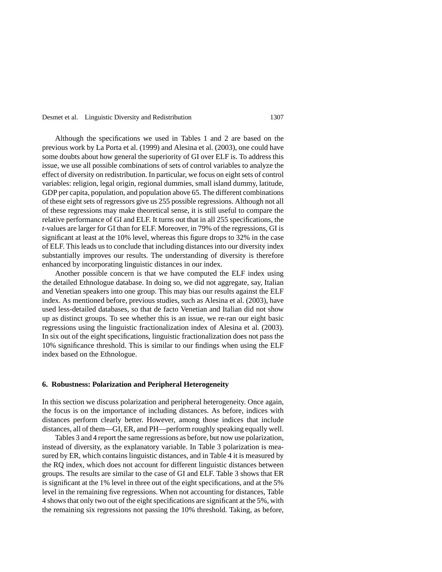Although the specifications we used in Tables 1 and 2 are based on the previous work by La Porta et al. (1999) and Alesina et al. (2003), one could have some doubts about how general the superiority of GI over ELF is. To address this issue, we use all possible combinations of sets of control variables to analyze the effect of diversity on redistribution. In particular, we focus on eight sets of control variables: religion, legal origin, regional dummies, small island dummy, latitude, GDP per capita, population, and population above 65. The different combinations of these eight sets of regressors give us 255 possible regressions. Although not all of these regressions may make theoretical sense, it is still useful to compare the relative performance of GI and ELF. It turns out that in all 255 specifications, the *t*-values are larger for GI than for ELF. Moreover, in 79% of the regressions, GI is significant at least at the 10% level, whereas this figure drops to 32% in the case of ELF. This leads us to conclude that including distances into our diversity index substantially improves our results. The understanding of diversity is therefore enhanced by incorporating linguistic distances in our index.

Another possible concern is that we have computed the ELF index using the detailed Ethnologue database. In doing so, we did not aggregate, say, Italian and Venetian speakers into one group. This may bias our results against the ELF index. As mentioned before, previous studies, such as Alesina et al. (2003), have used less-detailed databases, so that de facto Venetian and Italian did not show up as distinct groups. To see whether this is an issue, we re-ran our eight basic regressions using the linguistic fractionalization index of Alesina et al. (2003). In six out of the eight specifications, linguistic fractionalization does not pass the 10% significance threshold. This is similar to our findings when using the ELF index based on the Ethnologue.

#### **6. Robustness: Polarization and Peripheral Heterogeneity**

In this section we discuss polarization and peripheral heterogeneity. Once again, the focus is on the importance of including distances. As before, indices with distances perform clearly better. However, among those indices that include distances, all of them—GI, ER, and PH—perform roughly speaking equally well.

Tables 3 and 4 report the same regressions as before, but now use polarization, instead of diversity, as the explanatory variable. In Table 3 polarization is measured by ER, which contains linguistic distances, and in Table 4 it is measured by the RQ index, which does not account for different linguistic distances between groups. The results are similar to the case of GI and ELF. Table 3 shows that ER is significant at the 1% level in three out of the eight specifications, and at the 5% level in the remaining five regressions. When not accounting for distances, Table 4 shows that only two out of the eight specifications are significant at the 5%, with the remaining six regressions not passing the 10% threshold. Taking, as before,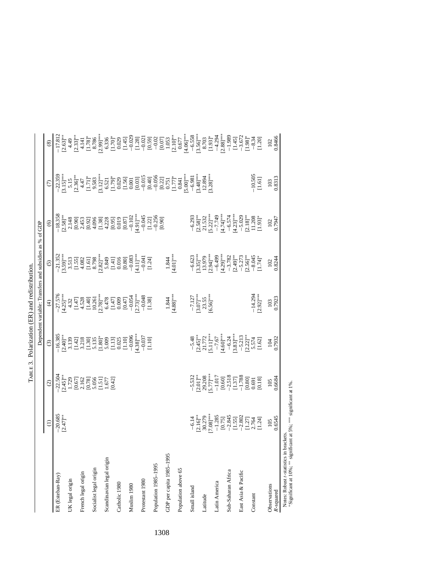| i<br>$\frac{1}{2}$ |
|--------------------|
| č<br>i             |
| Ê                  |
| uvuszusl<br>J      |
| ;<br>$\frac{1}{2}$ |

|                                                                                                              |                                                                                                                                                                                                                                                                                                                                                                                                                                 |                                                                                                                                                                                                                                                                                                                                                  |                                                                                                                                                                                                                                                                                                                                    |                                                                                                                                                                                                                                                                                                      | Dependent variable: Transfers and subsidies as % of GDP                                                                                                                                                                                                                                                                                         |                                                                                                                                                                                                                                                                                                                                                 |                                                                                                                                                                                                                                                                                                              |                                                                                                                                                                                                                                                                                                                     |
|--------------------------------------------------------------------------------------------------------------|---------------------------------------------------------------------------------------------------------------------------------------------------------------------------------------------------------------------------------------------------------------------------------------------------------------------------------------------------------------------------------------------------------------------------------|--------------------------------------------------------------------------------------------------------------------------------------------------------------------------------------------------------------------------------------------------------------------------------------------------------------------------------------------------|------------------------------------------------------------------------------------------------------------------------------------------------------------------------------------------------------------------------------------------------------------------------------------------------------------------------------------|------------------------------------------------------------------------------------------------------------------------------------------------------------------------------------------------------------------------------------------------------------------------------------------------------|-------------------------------------------------------------------------------------------------------------------------------------------------------------------------------------------------------------------------------------------------------------------------------------------------------------------------------------------------|-------------------------------------------------------------------------------------------------------------------------------------------------------------------------------------------------------------------------------------------------------------------------------------------------------------------------------------------------|--------------------------------------------------------------------------------------------------------------------------------------------------------------------------------------------------------------------------------------------------------------------------------------------------------------|---------------------------------------------------------------------------------------------------------------------------------------------------------------------------------------------------------------------------------------------------------------------------------------------------------------------|
|                                                                                                              |                                                                                                                                                                                                                                                                                                                                                                                                                                 | $\widehat{c}$                                                                                                                                                                                                                                                                                                                                    | $\odot$                                                                                                                                                                                                                                                                                                                            | $\widehat{\mathcal{F}}$                                                                                                                                                                                                                                                                              | $\tilde{c}$                                                                                                                                                                                                                                                                                                                                     | $\widehat{\mathbf{e}}$                                                                                                                                                                                                                                                                                                                          |                                                                                                                                                                                                                                                                                                              | $\circledast$                                                                                                                                                                                                                                                                                                       |
| ER (Esteban-Ray)                                                                                             | $-20.685$<br>[2.47]**                                                                                                                                                                                                                                                                                                                                                                                                           |                                                                                                                                                                                                                                                                                                                                                  |                                                                                                                                                                                                                                                                                                                                    |                                                                                                                                                                                                                                                                                                      |                                                                                                                                                                                                                                                                                                                                                 |                                                                                                                                                                                                                                                                                                                                                 |                                                                                                                                                                                                                                                                                                              |                                                                                                                                                                                                                                                                                                                     |
|                                                                                                              |                                                                                                                                                                                                                                                                                                                                                                                                                                 |                                                                                                                                                                                                                                                                                                                                                  |                                                                                                                                                                                                                                                                                                                                    |                                                                                                                                                                                                                                                                                                      |                                                                                                                                                                                                                                                                                                                                                 |                                                                                                                                                                                                                                                                                                                                                 |                                                                                                                                                                                                                                                                                                              |                                                                                                                                                                                                                                                                                                                     |
| UK legal origin                                                                                              |                                                                                                                                                                                                                                                                                                                                                                                                                                 |                                                                                                                                                                                                                                                                                                                                                  |                                                                                                                                                                                                                                                                                                                                    |                                                                                                                                                                                                                                                                                                      |                                                                                                                                                                                                                                                                                                                                                 |                                                                                                                                                                                                                                                                                                                                                 |                                                                                                                                                                                                                                                                                                              |                                                                                                                                                                                                                                                                                                                     |
| French legal origin                                                                                          |                                                                                                                                                                                                                                                                                                                                                                                                                                 |                                                                                                                                                                                                                                                                                                                                                  |                                                                                                                                                                                                                                                                                                                                    |                                                                                                                                                                                                                                                                                                      |                                                                                                                                                                                                                                                                                                                                                 |                                                                                                                                                                                                                                                                                                                                                 |                                                                                                                                                                                                                                                                                                              |                                                                                                                                                                                                                                                                                                                     |
| Socialist legal origin                                                                                       |                                                                                                                                                                                                                                                                                                                                                                                                                                 | $-22.504$<br>$[2.45]$ <sup>**</sup><br>$[1.729$<br>$[1.67]$<br>$[0.67]$<br>$[0.78]$<br>$[0.51]$<br>$[1.51]$                                                                                                                                                                                                                                      |                                                                                                                                                                                                                                                                                                                                    |                                                                                                                                                                                                                                                                                                      |                                                                                                                                                                                                                                                                                                                                                 |                                                                                                                                                                                                                                                                                                                                                 |                                                                                                                                                                                                                                                                                                              |                                                                                                                                                                                                                                                                                                                     |
|                                                                                                              |                                                                                                                                                                                                                                                                                                                                                                                                                                 |                                                                                                                                                                                                                                                                                                                                                  |                                                                                                                                                                                                                                                                                                                                    |                                                                                                                                                                                                                                                                                                      |                                                                                                                                                                                                                                                                                                                                                 |                                                                                                                                                                                                                                                                                                                                                 |                                                                                                                                                                                                                                                                                                              |                                                                                                                                                                                                                                                                                                                     |
| Scandinavian legal origin                                                                                    |                                                                                                                                                                                                                                                                                                                                                                                                                                 |                                                                                                                                                                                                                                                                                                                                                  |                                                                                                                                                                                                                                                                                                                                    |                                                                                                                                                                                                                                                                                                      |                                                                                                                                                                                                                                                                                                                                                 |                                                                                                                                                                                                                                                                                                                                                 |                                                                                                                                                                                                                                                                                                              |                                                                                                                                                                                                                                                                                                                     |
| Catholic 1980                                                                                                |                                                                                                                                                                                                                                                                                                                                                                                                                                 | (0.42)                                                                                                                                                                                                                                                                                                                                           | $\begin{array}{r} -16.385 \\ -12.40 \\ -12.39 \\ -13.39 \\ -14.21 \\ -15.39 \\ -15.39 \\ -15.39 \\ -15.39 \\ -15.39 \\ -15.39 \\ -15.39 \\ -15.39 \\ -15.39 \\ -15.39 \\ -15.39 \\ -15.39 \\ -15.39 \\ -15.39 \\ -15.39 \\ -15.39 \\ -15.39 \\ -15.39 \\ -15.39 \\ -15.39 \\ -15.39 \\ -15.39 \\ -15.39 \\ -15.39 \\ -15.39 \\ -1$ | $\begin{array}{r} -27.576\\ -27.57\\ 4.32\\ 4.32\\ 1.47\\ 2.51\\ -1.47\\ 2.63\\ 2.647\\ 2.647\\ -1.47\\ 2.647\\ -1.47\\ -1.47\\ -1.47\\ -1.47\\ -1.47\\ -1.47\\ -1.47\\ -1.47\\ -1.47\\ -1.47\\ -1.47\\ -1.47\\ -1.47\\ -1.47\\ -1.47\\ -1.47\\ -1.47\\ -1.47\\ -1.47\\ -1.47\\ -1.47\\ -1.47\\ -1.$ | $\begin{array}{r} 1.352 \\ -1.39] \\ -1.59] \\ -1.59 \\ -1.59 \\ -1.59 \\ -1.59 \\ -1.59 \\ -1.59 \\ -1.59 \\ -1.59 \\ -1.59 \\ -1.59 \\ -1.59 \\ -1.59 \\ -1.59 \\ -1.59 \\ -1.59 \\ -1.59 \\ -1.59 \\ -1.59 \\ -1.59 \\ -1.59 \\ -1.59 \\ -1.59 \\ -1.59 \\ -1.59 \\ -1.59 \\ -1.59 \\ -1.59 \\ -1.59 \\ -1.59 \\ -1.59 \\ -1.59 \\ -1.59 \\$ | $\begin{array}{l} 18.38_{+}^{*0.70}_{-0.70} \\ -18.38_{-0.70}^{+0.70}_{-0.70} \\ -18.38_{-0.70}^{+0.70}_{-0.70} \\ -18.38_{-0.70}^{+0.70}_{-0.70} \\ -18.38_{-0.70}^{+0.70}_{-0.70} \\ -18.38_{-0.70}^{+0.70}_{-0.70} \\ -18.38_{-0.70}^{+0.70}_{-0.70} \\ -18.38_{-0.70}^{+0.70}_{-0.70} \\ -$                                                 | $\begin{array}{l} 27.359\\ -11.51\\ -1.51\\ -1.51\\ -1.52\\ -1.53\\ -1.53\\ -1.54\\ -1.53\\ -1.54\\ -1.55\\ -1.55\\ -1.55\\ -1.55\\ -1.55\\ -1.55\\ -1.55\\ -1.55\\ -1.55\\ -1.55\\ -1.55\\ -1.55\\ -1.55\\ -1.55\\ -1.55\\ -1.55\\ -1.55\\ -1.55\\ -1.55\\ -1.55\\ -1.55\\ -1.55\\ -1.55\\ -1.55\\ -1.55\\$ |                                                                                                                                                                                                                                                                                                                     |
| Muslim 1980                                                                                                  |                                                                                                                                                                                                                                                                                                                                                                                                                                 |                                                                                                                                                                                                                                                                                                                                                  |                                                                                                                                                                                                                                                                                                                                    |                                                                                                                                                                                                                                                                                                      |                                                                                                                                                                                                                                                                                                                                                 |                                                                                                                                                                                                                                                                                                                                                 |                                                                                                                                                                                                                                                                                                              |                                                                                                                                                                                                                                                                                                                     |
|                                                                                                              |                                                                                                                                                                                                                                                                                                                                                                                                                                 |                                                                                                                                                                                                                                                                                                                                                  |                                                                                                                                                                                                                                                                                                                                    |                                                                                                                                                                                                                                                                                                      |                                                                                                                                                                                                                                                                                                                                                 |                                                                                                                                                                                                                                                                                                                                                 |                                                                                                                                                                                                                                                                                                              |                                                                                                                                                                                                                                                                                                                     |
| Protestant 1980                                                                                              |                                                                                                                                                                                                                                                                                                                                                                                                                                 |                                                                                                                                                                                                                                                                                                                                                  |                                                                                                                                                                                                                                                                                                                                    |                                                                                                                                                                                                                                                                                                      |                                                                                                                                                                                                                                                                                                                                                 |                                                                                                                                                                                                                                                                                                                                                 |                                                                                                                                                                                                                                                                                                              |                                                                                                                                                                                                                                                                                                                     |
| Population 1985-1995                                                                                         |                                                                                                                                                                                                                                                                                                                                                                                                                                 |                                                                                                                                                                                                                                                                                                                                                  |                                                                                                                                                                                                                                                                                                                                    |                                                                                                                                                                                                                                                                                                      |                                                                                                                                                                                                                                                                                                                                                 |                                                                                                                                                                                                                                                                                                                                                 |                                                                                                                                                                                                                                                                                                              |                                                                                                                                                                                                                                                                                                                     |
| GDP per capita 1985-1995                                                                                     |                                                                                                                                                                                                                                                                                                                                                                                                                                 |                                                                                                                                                                                                                                                                                                                                                  |                                                                                                                                                                                                                                                                                                                                    |                                                                                                                                                                                                                                                                                                      |                                                                                                                                                                                                                                                                                                                                                 |                                                                                                                                                                                                                                                                                                                                                 |                                                                                                                                                                                                                                                                                                              |                                                                                                                                                                                                                                                                                                                     |
|                                                                                                              |                                                                                                                                                                                                                                                                                                                                                                                                                                 |                                                                                                                                                                                                                                                                                                                                                  |                                                                                                                                                                                                                                                                                                                                    | $1.844$<br>[4.88]***                                                                                                                                                                                                                                                                                 | $1.844$<br>[4.01]***                                                                                                                                                                                                                                                                                                                            |                                                                                                                                                                                                                                                                                                                                                 |                                                                                                                                                                                                                                                                                                              |                                                                                                                                                                                                                                                                                                                     |
| Population above 65                                                                                          |                                                                                                                                                                                                                                                                                                                                                                                                                                 |                                                                                                                                                                                                                                                                                                                                                  |                                                                                                                                                                                                                                                                                                                                    |                                                                                                                                                                                                                                                                                                      |                                                                                                                                                                                                                                                                                                                                                 |                                                                                                                                                                                                                                                                                                                                                 |                                                                                                                                                                                                                                                                                                              |                                                                                                                                                                                                                                                                                                                     |
| Small island                                                                                                 |                                                                                                                                                                                                                                                                                                                                                                                                                                 |                                                                                                                                                                                                                                                                                                                                                  |                                                                                                                                                                                                                                                                                                                                    |                                                                                                                                                                                                                                                                                                      |                                                                                                                                                                                                                                                                                                                                                 |                                                                                                                                                                                                                                                                                                                                                 |                                                                                                                                                                                                                                                                                                              |                                                                                                                                                                                                                                                                                                                     |
| Latitude                                                                                                     |                                                                                                                                                                                                                                                                                                                                                                                                                                 |                                                                                                                                                                                                                                                                                                                                                  |                                                                                                                                                                                                                                                                                                                                    | $-7.127$<br>$[3.07]***$<br>$23.55$<br>$[6.56]***$                                                                                                                                                                                                                                                    |                                                                                                                                                                                                                                                                                                                                                 |                                                                                                                                                                                                                                                                                                                                                 |                                                                                                                                                                                                                                                                                                              |                                                                                                                                                                                                                                                                                                                     |
|                                                                                                              |                                                                                                                                                                                                                                                                                                                                                                                                                                 |                                                                                                                                                                                                                                                                                                                                                  |                                                                                                                                                                                                                                                                                                                                    |                                                                                                                                                                                                                                                                                                      |                                                                                                                                                                                                                                                                                                                                                 |                                                                                                                                                                                                                                                                                                                                                 |                                                                                                                                                                                                                                                                                                              |                                                                                                                                                                                                                                                                                                                     |
| Latin America                                                                                                |                                                                                                                                                                                                                                                                                                                                                                                                                                 |                                                                                                                                                                                                                                                                                                                                                  |                                                                                                                                                                                                                                                                                                                                    |                                                                                                                                                                                                                                                                                                      |                                                                                                                                                                                                                                                                                                                                                 |                                                                                                                                                                                                                                                                                                                                                 |                                                                                                                                                                                                                                                                                                              |                                                                                                                                                                                                                                                                                                                     |
| Sub-Saharan Africa                                                                                           |                                                                                                                                                                                                                                                                                                                                                                                                                                 |                                                                                                                                                                                                                                                                                                                                                  |                                                                                                                                                                                                                                                                                                                                    |                                                                                                                                                                                                                                                                                                      |                                                                                                                                                                                                                                                                                                                                                 |                                                                                                                                                                                                                                                                                                                                                 |                                                                                                                                                                                                                                                                                                              |                                                                                                                                                                                                                                                                                                                     |
| East Asia & Pacific                                                                                          |                                                                                                                                                                                                                                                                                                                                                                                                                                 |                                                                                                                                                                                                                                                                                                                                                  |                                                                                                                                                                                                                                                                                                                                    |                                                                                                                                                                                                                                                                                                      |                                                                                                                                                                                                                                                                                                                                                 |                                                                                                                                                                                                                                                                                                                                                 |                                                                                                                                                                                                                                                                                                              |                                                                                                                                                                                                                                                                                                                     |
| Constant                                                                                                     | $\begin{array}{r} -6.14 \\ -6.16] \text{m} \\ \text{[2.16]} \text{m} \\ \text{[30.27]} \text{m} \\ \text{[4]} \text{m} \\ \text{[5]} \text{m} \\ \text{[6]} \text{m} \\ \text{[7]} \text{m} \\ \text{[8]} \text{m} \\ \text{[9]} \text{m} \\ \text{[1]} \text{m} \\ \text{[1]} \text{m} \\ \text{[1]} \text{m} \\ \text{[1]} \text{m} \\ \text{[1]} \text{m} \\ \text{[1]} \text{m} \\ \text{[1]} \text{m} \\ \text{[1]} \text$ | $\begin{array}{r} -5.532\\ -5.532\\ (2.01]^{**}\\ (2.01)^{**}\\ (2.01) ^{**}\\ (2.01) ^{**}\\ (2.01) ^{**}\\ (2.01) ^{**}\\ (2.01) ^{**}\\ (2.01) ^{**}\\ (2.01) ^{**}\\ (2.01) ^{**}\\ (2.01) ^{**}\\ (2.01) ^{**}\\ (2.01) ^{**}\\ (2.01) ^{**}\\ (2.01) ^{**}\\ (2.01) ^{**}\\ (2.01) ^{**}\\ (2.01) ^{**}\\ (2.01) ^{**}\\ (2.01) ^{**}\\ ($ | $\begin{array}{r} -5.48 \\ [2.45]^{**} \\ [2.17]^{**} \\ [5.11]^{**} \\ [-6.6]^{**} \\ [-6.6]^{**} \\ [-6.3]^{**} \\ [-6.2] \\ [-6.2] \\ [-6.2] \\ [-6.2] \\ [-6.2] \\ [-6.2] \\ [-1.62] \\ [-1.62] \\ \end{array}$                                                                                                                | $-14.294$<br>[2.92]***                                                                                                                                                                                                                                                                               | $\begin{array}{r} -6.623 \\ -6.35]^{***} \\ 13.979^{***} \\ 13.979^{***} \\ 13.979^{***} \\ 13.978^{***} \\ 13.978^{***} \\ 13.782^{***} \\ 13.782^{***} \\ 13.782^{***} \\ 13.782^{***} \\ 13.732^{***} \\ 13.732^{***} \\ 13.732^{***} \\ 13.732^{***} \\ 13.732^{***} \\ 13.732^{***} \\ 13.732^{***} \\ 13.732^{***} \\ 13.732^{***$        | $\begin{array}{r} -6.293 \\[-2pt] -6.298 \\[-2pt] -2.1532 \\[-2pt] -2.1532 \\[-2pt] -7.74 \\[-2pt] -4.74 \\[-2pt] -4.74 \\[-2pt] -4.74 \\[-2pt] -4.74 \\[-2pt] -1.20 \\[-2pt] -1.20 \\[-2pt] -1.20 \\[-2pt] -1.20 \\[-2pt] -1.20 \\[-2pt] -1.20 \\[-2pt] -1.20 \\[-2pt] -1.20 \\[-2pt] -1.20 \\[-2pt] -1.20 \\[-2pt] -1.20 \\[-2pt] -1.20 \\[-$ | $-10.505$<br>[1.61]                                                                                                                                                                                                                                                                                          | $\begin{array}{l} 7.81_{*}^{*}\\ 7.83_{*}^{*}\\ 7.81_{*}^{*}\\ 7.81_{*}^{*}\\ 7.81_{*}^{*}\\ 7.81_{*}^{*}\\ 7.81_{*}^{*}\\ 7.81_{*}^{*}\\ 7.81_{*}^{*}\\ 7.81_{*}^{*}\\ 7.81_{*}^{*}\\ 7.81_{*}^{*}\\ 7.81_{*}^{*}\\ 7.81_{*}^{*}\\ 7.81_{*}^{*}\\ 7.81_{*}^{*}\\ 7.81_{*}^{*}\\ 7.81_{*}^{*}\\ 7.81_{*}^{*}\\ 7.8$ |
| Observations<br>$R$ -squared                                                                                 | 105<br>0.6545                                                                                                                                                                                                                                                                                                                                                                                                                   | 105<br>0.6684                                                                                                                                                                                                                                                                                                                                    | 104<br>0.7932                                                                                                                                                                                                                                                                                                                      | 103<br>0.7923                                                                                                                                                                                                                                                                                        | 102<br>0.8244                                                                                                                                                                                                                                                                                                                                   | $102$<br>0.7947                                                                                                                                                                                                                                                                                                                                 | $\frac{103}{0.8313}$                                                                                                                                                                                                                                                                                         | 102<br>0.8466                                                                                                                                                                                                                                                                                                       |
| 'Significant at 10%; ** significant at 5%; *** significant at 1%.<br>Notes: Robust t-statistics in brackets. |                                                                                                                                                                                                                                                                                                                                                                                                                                 |                                                                                                                                                                                                                                                                                                                                                  |                                                                                                                                                                                                                                                                                                                                    |                                                                                                                                                                                                                                                                                                      |                                                                                                                                                                                                                                                                                                                                                 |                                                                                                                                                                                                                                                                                                                                                 |                                                                                                                                                                                                                                                                                                              |                                                                                                                                                                                                                                                                                                                     |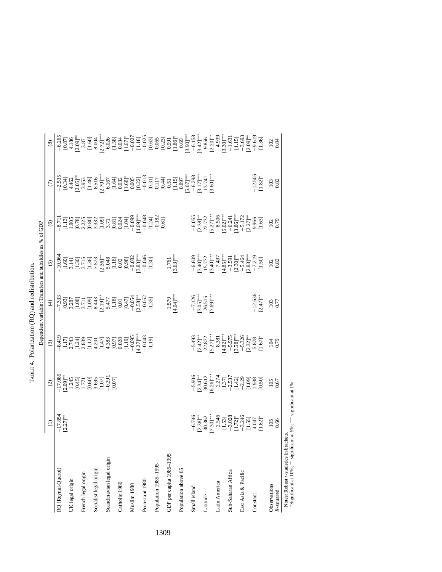|                                                                                                                 |                                                                                                                                                                                                                                                                                                                 |                                                                                                                                                                                                                                                                                                                                         | TABLE 4. Polarization (RQ) and redistribution.                                                                                                                                                                                                                                                                                                                                                                                   |                                                                                                                                                                                                                                                                                                    |                                                                                                                                                                                                                                                                                                                                                   |                                                                                                                                                                                                                                                                                                                                                  |                                                                                                                                                                                                                                                                                                                                                                                                                                                                                                                                                                                    |                                            |
|-----------------------------------------------------------------------------------------------------------------|-----------------------------------------------------------------------------------------------------------------------------------------------------------------------------------------------------------------------------------------------------------------------------------------------------------------|-----------------------------------------------------------------------------------------------------------------------------------------------------------------------------------------------------------------------------------------------------------------------------------------------------------------------------------------|----------------------------------------------------------------------------------------------------------------------------------------------------------------------------------------------------------------------------------------------------------------------------------------------------------------------------------------------------------------------------------------------------------------------------------|----------------------------------------------------------------------------------------------------------------------------------------------------------------------------------------------------------------------------------------------------------------------------------------------------|---------------------------------------------------------------------------------------------------------------------------------------------------------------------------------------------------------------------------------------------------------------------------------------------------------------------------------------------------|--------------------------------------------------------------------------------------------------------------------------------------------------------------------------------------------------------------------------------------------------------------------------------------------------------------------------------------------------|------------------------------------------------------------------------------------------------------------------------------------------------------------------------------------------------------------------------------------------------------------------------------------------------------------------------------------------------------------------------------------------------------------------------------------------------------------------------------------------------------------------------------------------------------------------------------------|--------------------------------------------|
|                                                                                                                 |                                                                                                                                                                                                                                                                                                                 |                                                                                                                                                                                                                                                                                                                                         |                                                                                                                                                                                                                                                                                                                                                                                                                                  |                                                                                                                                                                                                                                                                                                    | Dependent variable: Transfers and subsidies as % of GDP                                                                                                                                                                                                                                                                                           |                                                                                                                                                                                                                                                                                                                                                  |                                                                                                                                                                                                                                                                                                                                                                                                                                                                                                                                                                                    |                                            |
|                                                                                                                 | $\widehat{\Xi}$                                                                                                                                                                                                                                                                                                 | $\odot$                                                                                                                                                                                                                                                                                                                                 | $\odot$                                                                                                                                                                                                                                                                                                                                                                                                                          | $\tag{4}$                                                                                                                                                                                                                                                                                          | $\odot$                                                                                                                                                                                                                                                                                                                                           | $\odot$                                                                                                                                                                                                                                                                                                                                          | $\widehat{C}$                                                                                                                                                                                                                                                                                                                                                                                                                                                                                                                                                                      | $\circledast$                              |
| RQ (Reynal-Querol)                                                                                              | $-17.854$<br>[2.27]**                                                                                                                                                                                                                                                                                           |                                                                                                                                                                                                                                                                                                                                         |                                                                                                                                                                                                                                                                                                                                                                                                                                  |                                                                                                                                                                                                                                                                                                    |                                                                                                                                                                                                                                                                                                                                                   |                                                                                                                                                                                                                                                                                                                                                  |                                                                                                                                                                                                                                                                                                                                                                                                                                                                                                                                                                                    |                                            |
|                                                                                                                 |                                                                                                                                                                                                                                                                                                                 |                                                                                                                                                                                                                                                                                                                                         |                                                                                                                                                                                                                                                                                                                                                                                                                                  |                                                                                                                                                                                                                                                                                                    |                                                                                                                                                                                                                                                                                                                                                   |                                                                                                                                                                                                                                                                                                                                                  |                                                                                                                                                                                                                                                                                                                                                                                                                                                                                                                                                                                    |                                            |
| UK legal origin                                                                                                 |                                                                                                                                                                                                                                                                                                                 |                                                                                                                                                                                                                                                                                                                                         |                                                                                                                                                                                                                                                                                                                                                                                                                                  |                                                                                                                                                                                                                                                                                                    |                                                                                                                                                                                                                                                                                                                                                   |                                                                                                                                                                                                                                                                                                                                                  |                                                                                                                                                                                                                                                                                                                                                                                                                                                                                                                                                                                    |                                            |
| French legal origin                                                                                             |                                                                                                                                                                                                                                                                                                                 |                                                                                                                                                                                                                                                                                                                                         |                                                                                                                                                                                                                                                                                                                                                                                                                                  |                                                                                                                                                                                                                                                                                                    |                                                                                                                                                                                                                                                                                                                                                   |                                                                                                                                                                                                                                                                                                                                                  |                                                                                                                                                                                                                                                                                                                                                                                                                                                                                                                                                                                    |                                            |
|                                                                                                                 |                                                                                                                                                                                                                                                                                                                 |                                                                                                                                                                                                                                                                                                                                         |                                                                                                                                                                                                                                                                                                                                                                                                                                  |                                                                                                                                                                                                                                                                                                    |                                                                                                                                                                                                                                                                                                                                                   |                                                                                                                                                                                                                                                                                                                                                  |                                                                                                                                                                                                                                                                                                                                                                                                                                                                                                                                                                                    |                                            |
| Socialist legal origin                                                                                          |                                                                                                                                                                                                                                                                                                                 |                                                                                                                                                                                                                                                                                                                                         |                                                                                                                                                                                                                                                                                                                                                                                                                                  |                                                                                                                                                                                                                                                                                                    |                                                                                                                                                                                                                                                                                                                                                   |                                                                                                                                                                                                                                                                                                                                                  |                                                                                                                                                                                                                                                                                                                                                                                                                                                                                                                                                                                    |                                            |
| Scandinavian legal origin                                                                                       |                                                                                                                                                                                                                                                                                                                 | $\begin{array}{r} -17.085 \\[-4pt] -17.089 \\[-4pt] -12.45 \\[-4pt] -12.45 \\[-4pt] -17.7 \\[-4pt] -10.60 \\[-4pt] -10.07 \\[-4pt] -10.07 \\[-4pt] -10.07 \\[-4pt] -10.07 \\[-4pt] -10.07 \\[-4pt] -10.07 \\[-4pt] -10.07 \\[-4pt] -10.07 \\[-4pt] -10.07 \\[-4pt] -10.07 \\[-4pt] -10.07 \\[-4pt] -10.07 \\[-4pt] -10.07 \\[-4pt] -10$ | $\begin{array}{l} \mathbf{q} = \mathbf{q} = \mathbf{q} = \mathbf{q} = \mathbf{q} = \mathbf{q} = \mathbf{q} = \mathbf{q} = \mathbf{q} = \mathbf{q} = \mathbf{q} = \mathbf{q} = \mathbf{q} = \mathbf{q} = \mathbf{q} = \mathbf{q} = \mathbf{q} = \mathbf{q} = \mathbf{q} = \mathbf{q} = \mathbf{q} = \mathbf{q} = \mathbf{q} = \mathbf{q} = \mathbf{q} = \mathbf{q} = \mathbf{q} = \mathbf{q} = \mathbf{q} = \mathbf{q} = \mathbf$ | $\begin{array}{r} 7.333\\ -1.333\\ 0.931\\ -1.008\\ -1.008\\ -1.008\\ -1.008\\ -1.008\\ -1.008\\ -1.008\\ -1.008\\ -1.008\\ -1.008\\ -1.008\\ -1.008\\ -1.008\\ -1.008\\ -1.008\\ -1.008\\ -1.008\\ -1.008\\ -1.008\\ -1.008\\ -1.008\\ -1.008\\ -1.008\\ -1.008\\ -1.008\\ -1.008\\ -1.008\\ -1.$ | $\begin{array}{r} -10.964 \\ -1.60 \\ -1.50 \\ -1.30 \\ -1.30 \\ -1.57 \\ -1.50 \\ -1.50 \\ -1.50 \\ -1.50 \\ -1.50 \\ -1.50 \\ -1.50 \\ -1.50 \\ -1.50 \\ -1.50 \\ -1.50 \\ -1.50 \\ -1.50 \\ -1.50 \\ -1.50 \\ -1.50 \\ -1.50 \\ -1.50 \\ -1.50 \\ -1.50 \\ -1.50 \\ -1.50 \\ -1.50 \\ -1.50 \\ -1.50 \\ -1.50 \\ -1.50 \\ -1.50 \\ -1.50 \\ -$ | $\begin{array}{l} 7.71 \\ -1.73 \\ -1.75 \\ -1.75 \\ -1.75 \\ -1.75 \\ -1.75 \\ -1.75 \\ -1.75 \\ -1.75 \\ -1.75 \\ -1.75 \\ -1.75 \\ -1.75 \\ -1.75 \\ -1.75 \\ -1.75 \\ -1.75 \\ -1.75 \\ -1.75 \\ -1.75 \\ -1.75 \\ -1.75 \\ -1.75 \\ -1.75 \\ -1.75 \\ -1.75 \\ -1.75 \\ -1.75 \\ -1.75 \\ -1.75 \\ -1.75 \\ -1.75 \\ -1.75 \\ -1.75 \\ -1.$ |                                                                                                                                                                                                                                                                                                                                                                                                                                                                                                                                                                                    |                                            |
|                                                                                                                 |                                                                                                                                                                                                                                                                                                                 |                                                                                                                                                                                                                                                                                                                                         |                                                                                                                                                                                                                                                                                                                                                                                                                                  |                                                                                                                                                                                                                                                                                                    |                                                                                                                                                                                                                                                                                                                                                   |                                                                                                                                                                                                                                                                                                                                                  |                                                                                                                                                                                                                                                                                                                                                                                                                                                                                                                                                                                    |                                            |
| Catholic 1980                                                                                                   |                                                                                                                                                                                                                                                                                                                 |                                                                                                                                                                                                                                                                                                                                         |                                                                                                                                                                                                                                                                                                                                                                                                                                  |                                                                                                                                                                                                                                                                                                    |                                                                                                                                                                                                                                                                                                                                                   |                                                                                                                                                                                                                                                                                                                                                  |                                                                                                                                                                                                                                                                                                                                                                                                                                                                                                                                                                                    |                                            |
| Muslim 1980                                                                                                     |                                                                                                                                                                                                                                                                                                                 |                                                                                                                                                                                                                                                                                                                                         |                                                                                                                                                                                                                                                                                                                                                                                                                                  |                                                                                                                                                                                                                                                                                                    |                                                                                                                                                                                                                                                                                                                                                   |                                                                                                                                                                                                                                                                                                                                                  |                                                                                                                                                                                                                                                                                                                                                                                                                                                                                                                                                                                    |                                            |
|                                                                                                                 |                                                                                                                                                                                                                                                                                                                 |                                                                                                                                                                                                                                                                                                                                         |                                                                                                                                                                                                                                                                                                                                                                                                                                  |                                                                                                                                                                                                                                                                                                    |                                                                                                                                                                                                                                                                                                                                                   |                                                                                                                                                                                                                                                                                                                                                  |                                                                                                                                                                                                                                                                                                                                                                                                                                                                                                                                                                                    |                                            |
| Protestant 1980                                                                                                 |                                                                                                                                                                                                                                                                                                                 |                                                                                                                                                                                                                                                                                                                                         |                                                                                                                                                                                                                                                                                                                                                                                                                                  |                                                                                                                                                                                                                                                                                                    |                                                                                                                                                                                                                                                                                                                                                   |                                                                                                                                                                                                                                                                                                                                                  |                                                                                                                                                                                                                                                                                                                                                                                                                                                                                                                                                                                    |                                            |
|                                                                                                                 |                                                                                                                                                                                                                                                                                                                 |                                                                                                                                                                                                                                                                                                                                         |                                                                                                                                                                                                                                                                                                                                                                                                                                  |                                                                                                                                                                                                                                                                                                    |                                                                                                                                                                                                                                                                                                                                                   |                                                                                                                                                                                                                                                                                                                                                  |                                                                                                                                                                                                                                                                                                                                                                                                                                                                                                                                                                                    |                                            |
| Population 1985-1995                                                                                            |                                                                                                                                                                                                                                                                                                                 |                                                                                                                                                                                                                                                                                                                                         |                                                                                                                                                                                                                                                                                                                                                                                                                                  |                                                                                                                                                                                                                                                                                                    |                                                                                                                                                                                                                                                                                                                                                   |                                                                                                                                                                                                                                                                                                                                                  |                                                                                                                                                                                                                                                                                                                                                                                                                                                                                                                                                                                    |                                            |
| GDP per capita 1985-1995                                                                                        |                                                                                                                                                                                                                                                                                                                 |                                                                                                                                                                                                                                                                                                                                         |                                                                                                                                                                                                                                                                                                                                                                                                                                  | $1.579$<br>[4.04]***                                                                                                                                                                                                                                                                               | $1.761$<br>[3.63]***                                                                                                                                                                                                                                                                                                                              |                                                                                                                                                                                                                                                                                                                                                  |                                                                                                                                                                                                                                                                                                                                                                                                                                                                                                                                                                                    |                                            |
| Population above 65                                                                                             |                                                                                                                                                                                                                                                                                                                 |                                                                                                                                                                                                                                                                                                                                         |                                                                                                                                                                                                                                                                                                                                                                                                                                  |                                                                                                                                                                                                                                                                                                    |                                                                                                                                                                                                                                                                                                                                                   |                                                                                                                                                                                                                                                                                                                                                  | $\begin{array}{l} \gamma_{1}^{1} \text{G} \rightarrow 0 \\ \text{G} \rightarrow 0 \\ \text{G} \rightarrow 0 \\ \text{G} \rightarrow 0 \\ \text{G} \rightarrow 0 \\ \text{G} \rightarrow 0 \\ \text{G} \rightarrow 0 \\ \text{G} \rightarrow 0 \\ \text{G} \rightarrow 0 \\ \text{G} \rightarrow 0 \\ \text{G} \rightarrow 0 \\ \text{G} \rightarrow 0 \\ \text{G} \rightarrow 0 \\ \text{G} \rightarrow 0 \\ \text{G} \rightarrow 0 \\ \text{G} \rightarrow 0 \\ \text{G} \rightarrow 0 \\ \text{G} \rightarrow 0 \\ \text{G} \rightarrow 0 \\ \text{G} \rightarrow 0 \\ \text{G}$ |                                            |
|                                                                                                                 |                                                                                                                                                                                                                                                                                                                 |                                                                                                                                                                                                                                                                                                                                         |                                                                                                                                                                                                                                                                                                                                                                                                                                  |                                                                                                                                                                                                                                                                                                    |                                                                                                                                                                                                                                                                                                                                                   |                                                                                                                                                                                                                                                                                                                                                  |                                                                                                                                                                                                                                                                                                                                                                                                                                                                                                                                                                                    |                                            |
| Small island                                                                                                    |                                                                                                                                                                                                                                                                                                                 | $-5.906$<br>[2.34]**                                                                                                                                                                                                                                                                                                                    |                                                                                                                                                                                                                                                                                                                                                                                                                                  |                                                                                                                                                                                                                                                                                                    |                                                                                                                                                                                                                                                                                                                                                   |                                                                                                                                                                                                                                                                                                                                                  |                                                                                                                                                                                                                                                                                                                                                                                                                                                                                                                                                                                    |                                            |
| Latitude                                                                                                        |                                                                                                                                                                                                                                                                                                                 |                                                                                                                                                                                                                                                                                                                                         |                                                                                                                                                                                                                                                                                                                                                                                                                                  | $-7.126$<br>$[3.05]***$<br>$26.515$<br>$[7.69]***$                                                                                                                                                                                                                                                 |                                                                                                                                                                                                                                                                                                                                                   |                                                                                                                                                                                                                                                                                                                                                  |                                                                                                                                                                                                                                                                                                                                                                                                                                                                                                                                                                                    |                                            |
|                                                                                                                 |                                                                                                                                                                                                                                                                                                                 |                                                                                                                                                                                                                                                                                                                                         |                                                                                                                                                                                                                                                                                                                                                                                                                                  |                                                                                                                                                                                                                                                                                                    |                                                                                                                                                                                                                                                                                                                                                   |                                                                                                                                                                                                                                                                                                                                                  |                                                                                                                                                                                                                                                                                                                                                                                                                                                                                                                                                                                    |                                            |
| Latin America                                                                                                   |                                                                                                                                                                                                                                                                                                                 |                                                                                                                                                                                                                                                                                                                                         |                                                                                                                                                                                                                                                                                                                                                                                                                                  |                                                                                                                                                                                                                                                                                                    |                                                                                                                                                                                                                                                                                                                                                   |                                                                                                                                                                                                                                                                                                                                                  |                                                                                                                                                                                                                                                                                                                                                                                                                                                                                                                                                                                    |                                            |
| Sub-Saharan Africa                                                                                              |                                                                                                                                                                                                                                                                                                                 |                                                                                                                                                                                                                                                                                                                                         | $\begin{array}{r} -5.493 \\ [2.42]^{**} \\ [2.872] \\ [5.27]^{***} \\ [-8.381] \\ [-8.39]^{***} \\ [-5.975] \\ [-5.975] \\ [-5.975] \\ \end{array}$                                                                                                                                                                                                                                                                              |                                                                                                                                                                                                                                                                                                    |                                                                                                                                                                                                                                                                                                                                                   | $\begin{array}{r} -6.055 \\ [2.38]^{**} \\ [2.732]^{**} \\ [5.27]^{***} \\ [5.02]^{**} \\ [5.02]^{**} \\ [5.02]^{**} \\ [3.86]^{**} \\ [3.86]^{**} \\ \end{array}$                                                                                                                                                                               |                                                                                                                                                                                                                                                                                                                                                                                                                                                                                                                                                                                    |                                            |
| East Asia & Pacific                                                                                             |                                                                                                                                                                                                                                                                                                                 |                                                                                                                                                                                                                                                                                                                                         |                                                                                                                                                                                                                                                                                                                                                                                                                                  |                                                                                                                                                                                                                                                                                                    |                                                                                                                                                                                                                                                                                                                                                   |                                                                                                                                                                                                                                                                                                                                                  |                                                                                                                                                                                                                                                                                                                                                                                                                                                                                                                                                                                    |                                            |
|                                                                                                                 |                                                                                                                                                                                                                                                                                                                 |                                                                                                                                                                                                                                                                                                                                         |                                                                                                                                                                                                                                                                                                                                                                                                                                  |                                                                                                                                                                                                                                                                                                    |                                                                                                                                                                                                                                                                                                                                                   |                                                                                                                                                                                                                                                                                                                                                  |                                                                                                                                                                                                                                                                                                                                                                                                                                                                                                                                                                                    |                                            |
| Constant                                                                                                        | $\begin{array}{r} -6.746 \\ -6.38 \\ 2.38 \\ 2.39 \\ 2.54 \\ 2.54 \\ 2.54 \\ 2.53 \\ 2.54 \\ 2.53 \\ 2.54 \\ 2.53 \\ 2.54 \\ 2.55 \\ 2.55 \\ 2.54 \\ 2.55 \\ 2.55 \\ 2.54 \\ 2.55 \\ 2.54 \\ 2.55 \\ 2.54 \\ 2.55 \\ 2.55 \\ 2.56 \\ 2.57 \\ 2.58 \\ 2.59 \\ 2.59 \\ 2.59 \\ 2.59 \\ 2.59 \\ 2.59 \\ 2.59 \\ 2$ | $\begin{array}{l} 30.612\\ 30.61\\ 6.201\\ -2.27\\ 1.37\\ -1.37\\ -1.42\\ 1.99\\ -1.09\\ -1.09\\ -1.09\\ 1.93\\ 1.93\\ 1.93\\ 1.93\\ 1.93\\ 1.93\\ 1.93\\ 1.93\\ 1.93\\ 1.93\\ 1.93\\ 1.93\\ 1.93\\ 1.93\\ 1.93\\ 1.93\\ 1.93\\ 1.93\\ 1.93\\ 1.93\\ 1.93\\ 1.93\\ 1.93\\ 1.93$                                                         | $\begin{array}{r} -5.326 \\ [2.32]^{**} \\ 5.878 \\ [1.67]^{*} \end{array}$                                                                                                                                                                                                                                                                                                                                                      | $-12.636$<br>[2.47]**                                                                                                                                                                                                                                                                              | $\begin{array}{r} -6.609 \\[-4pt] -6.40]^{***} \\[-4pt] -15.772 \\[-4pt] -15.749 \\[-4pt] -1.49 \\[-4pt] -1.49 \\[-4pt] -1.59 \\[-4pt] -1.59 \\[-4pt] -1.59 \\[-4pt] -1.59 \\[-4pt] -1.50 \\[-4pt] -1.50 \\[-4pt] -1.50 \\[-4pt] -1.50 \\[-4pt] -1.50 \\[-4pt] -1.50 \\[-4pt] -1.50 \\[-4pt] -1.50 \\[-4pt] -1.50 \\[-4pt] -1.50 \\[-4pt] -1.5$   | $[2.27]^{**}$<br>9.966<br>1.63]                                                                                                                                                                                                                                                                                                                  | $-12.505$<br>[1.82]*                                                                                                                                                                                                                                                                                                                                                                                                                                                                                                                                                               |                                            |
| Observations                                                                                                    | $\frac{105}{0.66}$                                                                                                                                                                                                                                                                                              | $\begin{array}{c} 105 \\ 0.67 \end{array}$                                                                                                                                                                                                                                                                                              | $^{104}_{0.79}$                                                                                                                                                                                                                                                                                                                                                                                                                  | $\begin{array}{c} 103 \\ 0.77 \end{array}$                                                                                                                                                                                                                                                         | $102\,$                                                                                                                                                                                                                                                                                                                                           | $\frac{102}{0.79}$                                                                                                                                                                                                                                                                                                                               | $\begin{array}{c} 103 \\ 0.82 \end{array}$                                                                                                                                                                                                                                                                                                                                                                                                                                                                                                                                         | $\begin{array}{c} 102 \\ 0.84 \end{array}$ |
| R-squared                                                                                                       |                                                                                                                                                                                                                                                                                                                 |                                                                                                                                                                                                                                                                                                                                         |                                                                                                                                                                                                                                                                                                                                                                                                                                  |                                                                                                                                                                                                                                                                                                    | 0.82                                                                                                                                                                                                                                                                                                                                              |                                                                                                                                                                                                                                                                                                                                                  |                                                                                                                                                                                                                                                                                                                                                                                                                                                                                                                                                                                    |                                            |
| *Significant at 10%; ** significant at 5%; *** significant at 1%.<br>in brackets.<br>Notes: Robust t-statistics |                                                                                                                                                                                                                                                                                                                 |                                                                                                                                                                                                                                                                                                                                         |                                                                                                                                                                                                                                                                                                                                                                                                                                  |                                                                                                                                                                                                                                                                                                    |                                                                                                                                                                                                                                                                                                                                                   |                                                                                                                                                                                                                                                                                                                                                  |                                                                                                                                                                                                                                                                                                                                                                                                                                                                                                                                                                                    |                                            |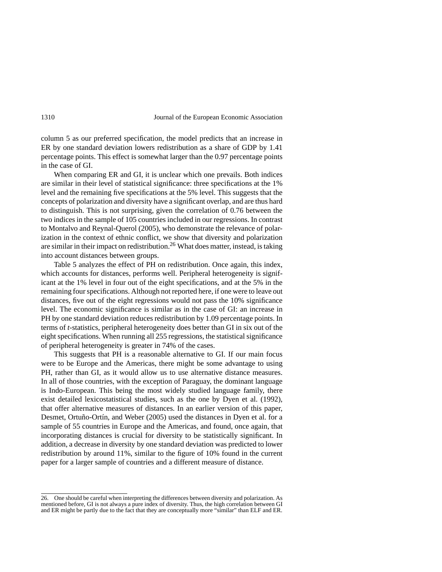column 5 as our preferred specification, the model predicts that an increase in ER by one standard deviation lowers redistribution as a share of GDP by 1.41 percentage points. This effect is somewhat larger than the 0.97 percentage points in the case of GI.

When comparing ER and GI, it is unclear which one prevails. Both indices are similar in their level of statistical significance: three specifications at the 1% level and the remaining five specifications at the 5% level. This suggests that the concepts of polarization and diversity have a significant overlap, and are thus hard to distinguish. This is not surprising, given the correlation of 0.76 between the two indices in the sample of 105 countries included in our regressions. In contrast to Montalvo and Reynal-Querol (2005), who demonstrate the relevance of polarization in the context of ethnic conflict, we show that diversity and polarization are similar in their impact on redistribution.<sup>26</sup> What does matter, instead, is taking into account distances between groups.

Table 5 analyzes the effect of PH on redistribution. Once again, this index, which accounts for distances, performs well. Peripheral heterogeneity is significant at the 1% level in four out of the eight specifications, and at the 5% in the remaining four specifications. Although not reported here, if one were to leave out distances, five out of the eight regressions would not pass the 10% significance level. The economic significance is similar as in the case of GI: an increase in PH by one standard deviation reduces redistribution by 1.09 percentage points. In terms of *t*-statistics, peripheral heterogeneity does better than GI in six out of the eight specifications. When running all 255 regressions, the statistical significance of peripheral heterogeneity is greater in 74% of the cases.

This suggests that PH is a reasonable alternative to GI. If our main focus were to be Europe and the Americas, there might be some advantage to using PH, rather than GI, as it would allow us to use alternative distance measures. In all of those countries, with the exception of Paraguay, the dominant language is Indo-European. This being the most widely studied language family, there exist detailed lexicostatistical studies, such as the one by Dyen et al. (1992), that offer alternative measures of distances. In an earlier version of this paper, Desmet, Ortuño-Ortín, and Weber (2005) used the distances in Dyen et al. for a sample of 55 countries in Europe and the Americas, and found, once again, that incorporating distances is crucial for diversity to be statistically significant. In addition, a decrease in diversity by one standard deviation was predicted to lower redistribution by around 11%, similar to the figure of 10% found in the current paper for a larger sample of countries and a different measure of distance.

<sup>26.</sup> One should be careful when interpreting the differences between diversity and polarization. As mentioned before, GI is not always a pure index of diversity. Thus, the high correlation between GI and ER might be partly due to the fact that they are conceptually more "similar" than ELF and ER.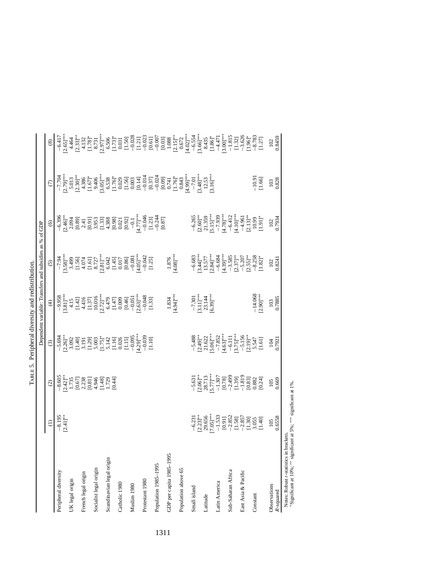|                                                                                                                 |                                                                                                                                                                                                                                                                                                                                              |                                                                                                                                                                                                                                                                                                                                             | TABLE 5. Peripheral diversity and redistribution.                                                                                                                                                                                                                                                                                  |                                                    |                                                                                                                                                                                                                                                                                                                                                   |                                                                            |                                                                                                                                                                                                                                                                                                                                 |                                                                                                                                                                                                                                                                                                                              |
|-----------------------------------------------------------------------------------------------------------------|----------------------------------------------------------------------------------------------------------------------------------------------------------------------------------------------------------------------------------------------------------------------------------------------------------------------------------------------|---------------------------------------------------------------------------------------------------------------------------------------------------------------------------------------------------------------------------------------------------------------------------------------------------------------------------------------------|------------------------------------------------------------------------------------------------------------------------------------------------------------------------------------------------------------------------------------------------------------------------------------------------------------------------------------|----------------------------------------------------|---------------------------------------------------------------------------------------------------------------------------------------------------------------------------------------------------------------------------------------------------------------------------------------------------------------------------------------------------|----------------------------------------------------------------------------|---------------------------------------------------------------------------------------------------------------------------------------------------------------------------------------------------------------------------------------------------------------------------------------------------------------------------------|------------------------------------------------------------------------------------------------------------------------------------------------------------------------------------------------------------------------------------------------------------------------------------------------------------------------------|
|                                                                                                                 |                                                                                                                                                                                                                                                                                                                                              |                                                                                                                                                                                                                                                                                                                                             |                                                                                                                                                                                                                                                                                                                                    |                                                    | Dependent variable: Transfers and subsidies as % of GDP                                                                                                                                                                                                                                                                                           |                                                                            |                                                                                                                                                                                                                                                                                                                                 |                                                                                                                                                                                                                                                                                                                              |
|                                                                                                                 | $\widehat{z}$                                                                                                                                                                                                                                                                                                                                | $\widehat{c}$                                                                                                                                                                                                                                                                                                                               | $\odot$                                                                                                                                                                                                                                                                                                                            | $\bigoplus$                                        | $\tilde{c}$                                                                                                                                                                                                                                                                                                                                       | $\circledcirc$                                                             | $\widehat{C}$                                                                                                                                                                                                                                                                                                                   | $\circledS$                                                                                                                                                                                                                                                                                                                  |
| Peripheral diversity                                                                                            | $-8.195$                                                                                                                                                                                                                                                                                                                                     |                                                                                                                                                                                                                                                                                                                                             |                                                                                                                                                                                                                                                                                                                                    |                                                    |                                                                                                                                                                                                                                                                                                                                                   |                                                                            | $-7.704$<br>2.79]***                                                                                                                                                                                                                                                                                                            | $-6.417$<br>[2.65]***                                                                                                                                                                                                                                                                                                        |
|                                                                                                                 | $[2.41]^{**}$                                                                                                                                                                                                                                                                                                                                | $-8.605$<br>$[2.42]$ **<br>$1.735$                                                                                                                                                                                                                                                                                                          |                                                                                                                                                                                                                                                                                                                                    |                                                    |                                                                                                                                                                                                                                                                                                                                                   | $-6.396$<br>2.46]**<br>2.094                                               |                                                                                                                                                                                                                                                                                                                                 |                                                                                                                                                                                                                                                                                                                              |
| UK legal origin                                                                                                 |                                                                                                                                                                                                                                                                                                                                              |                                                                                                                                                                                                                                                                                                                                             |                                                                                                                                                                                                                                                                                                                                    |                                                    |                                                                                                                                                                                                                                                                                                                                                   |                                                                            |                                                                                                                                                                                                                                                                                                                                 |                                                                                                                                                                                                                                                                                                                              |
| French legal origin                                                                                             |                                                                                                                                                                                                                                                                                                                                              |                                                                                                                                                                                                                                                                                                                                             |                                                                                                                                                                                                                                                                                                                                    |                                                    |                                                                                                                                                                                                                                                                                                                                                   |                                                                            |                                                                                                                                                                                                                                                                                                                                 |                                                                                                                                                                                                                                                                                                                              |
|                                                                                                                 |                                                                                                                                                                                                                                                                                                                                              |                                                                                                                                                                                                                                                                                                                                             |                                                                                                                                                                                                                                                                                                                                    |                                                    |                                                                                                                                                                                                                                                                                                                                                   |                                                                            |                                                                                                                                                                                                                                                                                                                                 |                                                                                                                                                                                                                                                                                                                              |
| Socialist legal origin                                                                                          |                                                                                                                                                                                                                                                                                                                                              |                                                                                                                                                                                                                                                                                                                                             |                                                                                                                                                                                                                                                                                                                                    |                                                    |                                                                                                                                                                                                                                                                                                                                                   |                                                                            |                                                                                                                                                                                                                                                                                                                                 |                                                                                                                                                                                                                                                                                                                              |
| Scandinavian legal origin                                                                                       |                                                                                                                                                                                                                                                                                                                                              | 0.671<br>2.238<br>2.2381<br>4.946<br>4.1729<br>1.729                                                                                                                                                                                                                                                                                        |                                                                                                                                                                                                                                                                                                                                    |                                                    |                                                                                                                                                                                                                                                                                                                                                   |                                                                            |                                                                                                                                                                                                                                                                                                                                 |                                                                                                                                                                                                                                                                                                                              |
| Catholic 1980                                                                                                   |                                                                                                                                                                                                                                                                                                                                              |                                                                                                                                                                                                                                                                                                                                             | $\begin{array}{r} -5.694 \\ -5.267 \\ -2.292 \\ -3.991 \\ -5.992 \\ -5.993 \\ -5.993 \\ -5.993 \\ -5.993 \\ -5.993 \\ -5.993 \\ -5.993 \\ -5.993 \\ -5.993 \\ -5.993 \\ -5.993 \\ -5.993 \\ -5.993 \\ -5.993 \\ -5.993 \\ -5.993 \\ -5.993 \\ -5.993 \\ -5.993 \\ -5.993 \\ -5.993 \\ -5.993 \\ -5.993 \\ -5.993 \\ -5.993 \\ -5.$ |                                                    | $\begin{array}{r} -7.91 \\ -7.91 \\ -8.81 \\ -1.50 \\ -1.50 \\ -1.50 \\ -1.50 \\ -1.51 \\ -1.51 \\ -1.51 \\ -1.51 \\ -1.51 \\ -1.51 \\ -1.51 \\ -1.51 \\ -1.51 \\ -1.51 \\ -1.51 \\ -1.51 \\ -1.51 \\ -1.51 \\ -1.51 \\ -1.51 \\ -1.51 \\ -1.51 \\ -1.51 \\ -1.51 \\ -1.51 \\ -1.51 \\ -1.51 \\ -1.51 \\ -1.51 \\ -1.51 \\ -1.51 \\ -1.51 \\ -1.$ |                                                                            | $\begin{bmatrix} 0.013 \\ 0.014 \\ 0.014 \\ -0.024 \\ -0.034 \\ -0.044 \\ -0.044 \\ -0.044 \\ -0.044 \\ -0.044 \\ -0.044 \\ -0.044 \\ -0.044 \\ -0.044 \\ -0.044 \\ -0.044 \\ -0.044 \\ -0.044 \\ -0.044 \\ -0.044 \\ -0.044 \\ -0.044 \\ -0.044 \\ -0.044 \\ -0.044 \\ -0.044 \\ -0.044 \\ -0.044 \\ -0.044 \\ -0.044 \\ -0.0$ |                                                                                                                                                                                                                                                                                                                              |
|                                                                                                                 |                                                                                                                                                                                                                                                                                                                                              |                                                                                                                                                                                                                                                                                                                                             | $\begin{array}{c} [1.15] \\[-4pt] -0.095 \\[-4pt] -0.039 \\[-4pt] -0.039 \\[-4pt] -1.10] \end{array}$                                                                                                                                                                                                                              |                                                    |                                                                                                                                                                                                                                                                                                                                                   |                                                                            |                                                                                                                                                                                                                                                                                                                                 |                                                                                                                                                                                                                                                                                                                              |
| Muslim 1980                                                                                                     |                                                                                                                                                                                                                                                                                                                                              |                                                                                                                                                                                                                                                                                                                                             |                                                                                                                                                                                                                                                                                                                                    |                                                    |                                                                                                                                                                                                                                                                                                                                                   |                                                                            |                                                                                                                                                                                                                                                                                                                                 |                                                                                                                                                                                                                                                                                                                              |
| Protestant 1980                                                                                                 |                                                                                                                                                                                                                                                                                                                                              |                                                                                                                                                                                                                                                                                                                                             |                                                                                                                                                                                                                                                                                                                                    |                                                    |                                                                                                                                                                                                                                                                                                                                                   |                                                                            |                                                                                                                                                                                                                                                                                                                                 |                                                                                                                                                                                                                                                                                                                              |
|                                                                                                                 |                                                                                                                                                                                                                                                                                                                                              |                                                                                                                                                                                                                                                                                                                                             |                                                                                                                                                                                                                                                                                                                                    |                                                    |                                                                                                                                                                                                                                                                                                                                                   |                                                                            |                                                                                                                                                                                                                                                                                                                                 |                                                                                                                                                                                                                                                                                                                              |
| Population 1985-1995                                                                                            |                                                                                                                                                                                                                                                                                                                                              |                                                                                                                                                                                                                                                                                                                                             |                                                                                                                                                                                                                                                                                                                                    |                                                    |                                                                                                                                                                                                                                                                                                                                                   |                                                                            |                                                                                                                                                                                                                                                                                                                                 |                                                                                                                                                                                                                                                                                                                              |
| GDP per capita 1985-199                                                                                         |                                                                                                                                                                                                                                                                                                                                              |                                                                                                                                                                                                                                                                                                                                             |                                                                                                                                                                                                                                                                                                                                    | $1.834$<br>[4.94]***                               | $1.876$<br>[4.08]***                                                                                                                                                                                                                                                                                                                              |                                                                            |                                                                                                                                                                                                                                                                                                                                 |                                                                                                                                                                                                                                                                                                                              |
| Population above 65                                                                                             |                                                                                                                                                                                                                                                                                                                                              |                                                                                                                                                                                                                                                                                                                                             |                                                                                                                                                                                                                                                                                                                                    |                                                    |                                                                                                                                                                                                                                                                                                                                                   |                                                                            | $[4.99]^{***}$                                                                                                                                                                                                                                                                                                                  | $\begin{array}{l} 4.45_{1,10}^{* \ast} \\ 4.41_{1,11}^{* \ast} \\ 2.41_{1,12}^{* \ast} \\ 2.41_{1,13}^{* \ast} \\ 2.41_{1,14}^{* \ast} \\ 2.41_{1,15}^{* \ast} \\ 2.41_{1,16}^{* \ast} \\ 2.41_{1,17}^{* \ast} \\ 2.41_{1,18}^{* \ast} \\ 2.41_{1,18}^{* \ast} \\ 2.41_{1,18}^{* \ast} \\ 2.41_{1,18}^{* \ast} \\ 2.41_{1,1$ |
| Small island                                                                                                    |                                                                                                                                                                                                                                                                                                                                              |                                                                                                                                                                                                                                                                                                                                             | $-5.488$<br>[2.49]**                                                                                                                                                                                                                                                                                                               |                                                    | $-6.683$                                                                                                                                                                                                                                                                                                                                          |                                                                            | $-7.01$                                                                                                                                                                                                                                                                                                                         |                                                                                                                                                                                                                                                                                                                              |
| Latitude                                                                                                        |                                                                                                                                                                                                                                                                                                                                              |                                                                                                                                                                                                                                                                                                                                             | $21.622$<br>[5.06]***                                                                                                                                                                                                                                                                                                              | $-7.301$<br>$[3.11]***$<br>$23.144$<br>$[6.39]***$ | $\begin{array}{l} [3.44]^{***} \\ 13.577 \\ [2.84]^{***} \\ -6.684 \end{array}$                                                                                                                                                                                                                                                                   | $-6.265$<br>$[2.60]$ <sup>**</sup><br>$21.359$<br>$[5.15]$ ***<br>$-7.939$ | $[3.48]$ ***<br>12.53<br>[3.16]***                                                                                                                                                                                                                                                                                              |                                                                                                                                                                                                                                                                                                                              |
| Latin America                                                                                                   |                                                                                                                                                                                                                                                                                                                                              |                                                                                                                                                                                                                                                                                                                                             | $-7.852$                                                                                                                                                                                                                                                                                                                           |                                                    |                                                                                                                                                                                                                                                                                                                                                   |                                                                            |                                                                                                                                                                                                                                                                                                                                 |                                                                                                                                                                                                                                                                                                                              |
|                                                                                                                 |                                                                                                                                                                                                                                                                                                                                              |                                                                                                                                                                                                                                                                                                                                             | $[4.63]$ ***                                                                                                                                                                                                                                                                                                                       |                                                    | $[4.39]$ ***                                                                                                                                                                                                                                                                                                                                      | $[4.78]$ ***                                                               |                                                                                                                                                                                                                                                                                                                                 |                                                                                                                                                                                                                                                                                                                              |
| Sub-Saharan Africa                                                                                              |                                                                                                                                                                                                                                                                                                                                              |                                                                                                                                                                                                                                                                                                                                             | $\frac{-6.111}{[3.75]^{***}}$                                                                                                                                                                                                                                                                                                      |                                                    | $-3.585$                                                                                                                                                                                                                                                                                                                                          | $-6.412$<br>[4.10]***                                                      |                                                                                                                                                                                                                                                                                                                                 |                                                                                                                                                                                                                                                                                                                              |
| East Asia & Pacific                                                                                             |                                                                                                                                                                                                                                                                                                                                              |                                                                                                                                                                                                                                                                                                                                             |                                                                                                                                                                                                                                                                                                                                    |                                                    | $\begin{array}{c} [2.37]^{**} \\ -5.207 \end{array}$                                                                                                                                                                                                                                                                                              | $-4.961$                                                                   |                                                                                                                                                                                                                                                                                                                                 |                                                                                                                                                                                                                                                                                                                              |
| Constant                                                                                                        | $\begin{array}{r} -6.231 \\ -6.237 \\ 29.656 \\ 20.657 \\ -1.533 \\ -1.533 \\ -2.85 \\ -2.85 \\ -1.39 \\ -1.53 \\ -2.85 \\ -1.39 \\ -1.39 \\ -1.49 \\ -1.49 \\ -1.49 \\ -1.49 \\ -1.49 \\ -1.49 \\ -1.49 \\ -1.49 \\ -1.49 \\ -1.49 \\ -1.49 \\ -1.49 \\ -1.49 \\ -1.49 \\ -1.49 \\ -1.49 \\ -1.49 \\ -1.49 \\ -1.49 \\ -1.49 \\ -1.49 \\ -$ | $\begin{array}{r} -5.631 \\ -5.631 \\ 2.8.713 \\ 2.71 \\ 2.71 \\ -1.30 \\ -1.30 \\ -1.39 \\ -1.81 \\ -1.81 \\ -1.81 \\ -1.81 \\ -1.81 \\ -1.81 \\ -1.81 \\ -1.81 \\ -1.81 \\ -1.81 \\ -1.81 \\ -1.81 \\ -1.81 \\ -1.81 \\ -1.81 \\ -1.81 \\ -1.81 \\ -1.81 \\ -1.81 \\ -1.81 \\ -1.81 \\ -1.81 \\ -1.81 \\ -1.81 \\ -1.81 \\ -1.81 \\ -1.8$ | $-5.156$<br>[2.19]**<br>5.547<br>[1.61]                                                                                                                                                                                                                                                                                            | $-14.068$<br>[2.90]***                             | $\begin{array}{c} [2.55]^{**} \\ -8.258 \\ \hline 1.82]^{*} \end{array}$                                                                                                                                                                                                                                                                          | $[2.13]^{**}$<br>$[1.91]$ *                                                | $-10.91$<br>[1.66]                                                                                                                                                                                                                                                                                                              | [1.27]                                                                                                                                                                                                                                                                                                                       |
| Observations<br>R-squared                                                                                       | 105<br>0.6558                                                                                                                                                                                                                                                                                                                                | $\frac{105}{0.669}$                                                                                                                                                                                                                                                                                                                         | 0.7921<br>104                                                                                                                                                                                                                                                                                                                      | 103<br>0.7885                                      | $\frac{102}{0.8241}$                                                                                                                                                                                                                                                                                                                              | $\frac{102}{0.7934}$                                                       | $\frac{103}{0.828}$                                                                                                                                                                                                                                                                                                             | 0.8459<br>102                                                                                                                                                                                                                                                                                                                |
| *Significant at 10%; ** significant at 5%; *** significant at 1%.<br>in brackets.<br>Notes: Robust t-statistics |                                                                                                                                                                                                                                                                                                                                              |                                                                                                                                                                                                                                                                                                                                             |                                                                                                                                                                                                                                                                                                                                    |                                                    |                                                                                                                                                                                                                                                                                                                                                   |                                                                            |                                                                                                                                                                                                                                                                                                                                 |                                                                                                                                                                                                                                                                                                                              |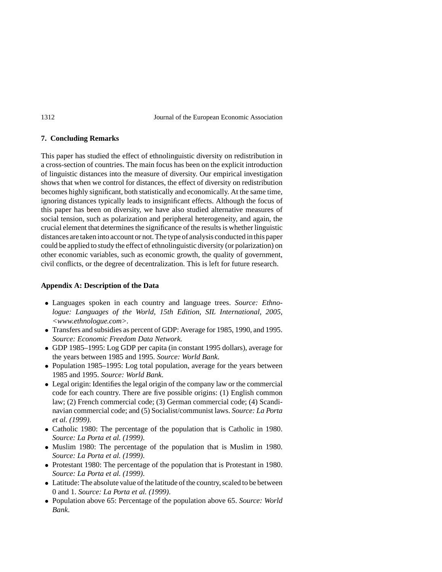## **7. Concluding Remarks**

This paper has studied the effect of ethnolinguistic diversity on redistribution in a cross-section of countries. The main focus has been on the explicit introduction of linguistic distances into the measure of diversity. Our empirical investigation shows that when we control for distances, the effect of diversity on redistribution becomes highly significant, both statistically and economically. At the same time, ignoring distances typically leads to insignificant effects. Although the focus of this paper has been on diversity, we have also studied alternative measures of social tension, such as polarization and peripheral heterogeneity, and again, the crucial element that determines the significance of the results is whether linguistic distances are taken into account or not. The type of analysis conducted in this paper could be applied to study the effect of ethnolinguistic diversity (or polarization) on other economic variables, such as economic growth, the quality of government, civil conflicts, or the degree of decentralization. This is left for future research.

## **Appendix A: Description of the Data**

- Languages spoken in each country and language trees. *Source: Ethnologue: Languages of the World, 15th Edition, SIL International, 2005, <www.ethnologue.com>.*
- Transfers and subsidies as percent of GDP: Average for 1985, 1990, and 1995. *Source: Economic Freedom Data Network.*
- GDP 1985–1995: Log GDP per capita (in constant 1995 dollars), average for the years between 1985 and 1995. *Source: World Bank*.
- Population 1985–1995: Log total population, average for the years between 1985 and 1995. *Source: World Bank*.
- Legal origin: Identifies the legal origin of the company law or the commercial code for each country. There are five possible origins: (1) English common law; (2) French commercial code; (3) German commercial code; (4) Scandinavian commercial code; and (5) Socialist/communist laws. *Source: La Porta et al. (1999)*.
- Catholic 1980: The percentage of the population that is Catholic in 1980. *Source: La Porta et al. (1999)*.
- Muslim 1980: The percentage of the population that is Muslim in 1980. *Source: La Porta et al. (1999)*.
- Protestant 1980: The percentage of the population that is Protestant in 1980. *Source: La Porta et al. (1999)*.
- Latitude: The absolute value of the latitude of the country, scaled to be between 0 and 1. *Source: La Porta et al. (1999)*.
- Population above 65: Percentage of the population above 65. *Source: World Bank*.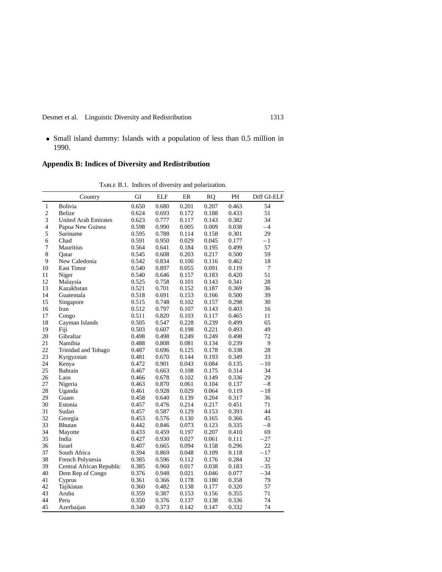• Small island dummy: Islands with a population of less than 0.5 million in 1990.

## **Appendix B: Indices of Diversity and Redistribution**

|                          | Country                     | GI    | <b>ELF</b> | ER    | <b>RQ</b> | PH    | Diff GI-ELF |
|--------------------------|-----------------------------|-------|------------|-------|-----------|-------|-------------|
| $\mathbf{1}$             | Bolivia                     | 0.650 | 0.680      | 0.201 | 0.207     | 0.463 | 54          |
| $\sqrt{2}$               | Belize                      | 0.624 | 0.693      | 0.172 | 0.188     | 0.433 | 51          |
| 3                        | <b>United Arab Emirates</b> | 0.623 | 0.777      | 0.117 | 0.143     | 0.382 | 34          |
| $\overline{\mathcal{L}}$ | Papua New Guinea            | 0.598 | 0.990      | 0.005 | 0.009     | 0.038 | $-4$        |
| 5                        | Suriname                    | 0.595 | 0.788      | 0.114 | 0.158     | 0.301 | 29          |
| 6                        | Chad                        | 0.591 | 0.950      | 0.029 | 0.045     | 0.177 | $-1$        |
| 7                        | Mauritius                   | 0.564 | 0.641      | 0.184 | 0.195     | 0.499 | 57          |
| 8                        | Oatar                       | 0.545 | 0.608      | 0.203 | 0.217     | 0.500 | 59          |
| 9                        | New Caledonia               | 0.542 | 0.834      | 0.100 | 0.116     | 0.462 | 18          |
| 10                       | East Timor                  | 0.540 | 0.897      | 0.055 | 0.091     | 0.119 | 7           |
| 11                       | Niger                       | 0.540 | 0.646      | 0.157 | 0.183     | 0.420 | 51          |
| 12                       | Malaysia                    | 0.525 | 0.758      | 0.101 | 0.143     | 0.341 | 28          |
| 13                       | Kazakhstan                  | 0.521 | 0.701      | 0.152 | 0.187     | 0.369 | 36          |
| 14                       | Guatemala                   | 0.518 | 0.691      | 0.153 | 0.166     | 0.500 | 39          |
| 15                       | Singapore                   | 0.515 | 0.748      | 0.102 | 0.157     | 0.298 | 30          |
| 16                       | Iran                        | 0.512 | 0.797      | 0.107 | 0.143     | 0.403 | 16          |
| 17                       | Congo                       | 0.511 | 0.820      | 0.103 | 0.117     | 0.465 | 11          |
| 18                       | Cayman Islands              | 0.505 | 0.547      | 0.228 | 0.239     | 0.499 | 65          |
| 19                       | Fiji                        | 0.503 | 0.607      | 0.198 | 0.221     | 0.493 | 49          |
| 20                       | Gibraltar                   | 0.498 | 0.498      | 0.249 | 0.249     | 0.498 | 72          |
| 21                       | Namibia                     | 0.488 | 0.808      | 0.081 | 0.134     | 0.239 | 9           |
| 22                       | Trinidad and Tobago         | 0.487 | 0.696      | 0.125 | 0.178     | 0.338 | 28          |
| 23                       | Kyrgyzstan                  | 0.481 | 0.670      | 0.144 | 0.193     | 0.349 | 33          |
| 24                       | Kenya                       | 0.472 | 0.901      | 0.043 | 0.084     | 0.135 | $-10$       |
| 25                       | Bahrain                     | 0.467 | 0.663      | 0.108 | 0.175     | 0.314 | 34          |
| 26                       | Laos                        | 0.466 | 0.678      | 0.102 | 0.149     | 0.336 | 29          |
| 27                       | Nigeria                     | 0.463 | 0.870      | 0.061 | 0.104     | 0.137 | $-8$        |
| 28                       | Uganda                      | 0.461 | 0.928      | 0.029 | 0.064     | 0.119 | $-18$       |
| 29                       | Guam                        | 0.458 | 0.640      | 0.139 | 0.204     | 0.317 | 36          |
| 30                       | Estonia                     | 0.457 | 0.476      | 0.214 | 0.217     | 0.451 | 71          |
| 31                       | Sudan                       | 0.457 | 0.587      | 0.129 | 0.153     | 0.393 | 44          |
| 32                       | Georgia                     | 0.453 | 0.576      | 0.130 | 0.165     | 0.366 | 45          |
| 33                       | Bhutan                      | 0.442 | 0.846      | 0.073 | 0.123     | 0.335 | $-8$        |
| 34                       | Mayotte                     | 0.433 | 0.459      | 0.197 | 0.207     | 0.410 | 69          |
| 35                       | India                       | 0.427 | 0.930      | 0.027 | 0.061     | 0.111 | $-27$       |
| 36                       | Israel                      | 0.407 | 0.665      | 0.094 | 0.158     | 0.296 | 22          |
| 37                       | South Africa                | 0.394 | 0.869      | 0.048 | 0.109     | 0.118 | $-17$       |
| 38                       | French Polynesia            | 0.385 | 0.596      | 0.112 | 0.176     | 0.284 | 32          |
| 39                       | Central African Republic    | 0.385 | 0.960      | 0.017 | 0.038     | 0.183 | $-35$       |
| 40                       | Dem Rep of Congo            | 0.376 | 0.948      | 0.021 | 0.046     | 0.077 | $-34$       |
| 41                       | Cyprus                      | 0.361 | 0.366      | 0.178 | 0.180     | 0.358 | 79          |
| 42                       | Tajikistan                  | 0.360 | 0.482      | 0.138 | 0.177     | 0.320 | 57          |
| 43                       | Aruba                       | 0.359 | 0.387      | 0.153 | 0.156     | 0.355 | 71          |
| 44                       | Peru                        | 0.350 | 0.376      | 0.137 | 0.138     | 0.336 | 74          |
| 45                       | Azerbaijan                  | 0.349 | 0.373      | 0.142 | 0.147     | 0.332 | 74          |

TABLE B.1. Indices of diversity and polarization.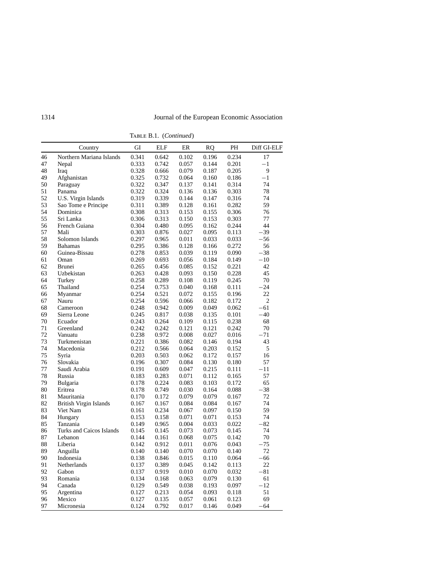Table B.1. (*Continued*)

|    | Country                       | GI    | <b>ELF</b> | ER    | RQ    | PH    | Diff GI-ELF    |
|----|-------------------------------|-------|------------|-------|-------|-------|----------------|
| 46 | Northern Mariana Islands      | 0.341 | 0.642      | 0.102 | 0.196 | 0.234 | 17             |
| 47 | Nepal                         | 0.333 | 0.742      | 0.057 | 0.144 | 0.201 | $-1$           |
| 48 | Iraq                          | 0.328 | 0.666      | 0.079 | 0.187 | 0.205 | 9              |
| 49 | Afghanistan                   | 0.325 | 0.732      | 0.064 | 0.160 | 0.186 | $-1$           |
| 50 | Paraguay                      | 0.322 | 0.347      | 0.137 | 0.141 | 0.314 | 74             |
| 51 | Panama                        | 0.322 | 0.324      | 0.136 | 0.136 | 0.303 | 78             |
| 52 | U.S. Virgin Islands           | 0.319 | 0.339      | 0.144 | 0.147 | 0.316 | 74             |
| 53 | Sao Tome e Principe           | 0.311 | 0.389      | 0.128 | 0.161 | 0.282 | 59             |
| 54 | Dominica                      | 0.308 | 0.313      | 0.153 | 0.155 | 0.306 | 76             |
| 55 | Sri Lanka                     | 0.306 | 0.313      | 0.150 | 0.153 | 0.303 | 77             |
| 56 | French Guiana                 | 0.304 | 0.480      | 0.095 | 0.162 | 0.244 | 44             |
| 57 | Mali                          | 0.303 | 0.876      | 0.027 | 0.095 | 0.113 | $-39$          |
| 58 | Solomon Islands               | 0.297 | 0.965      | 0.011 | 0.033 | 0.033 | $-56$          |
| 59 | <b>Bahamas</b>                | 0.295 | 0.386      | 0.128 | 0.166 | 0.272 | 56             |
| 60 | Guinea-Bissau                 | 0.278 | 0.853      | 0.039 | 0.119 | 0.090 | $-38$          |
| 61 | Oman                          | 0.269 | 0.693      | 0.056 | 0.184 | 0.149 | $-10$          |
| 62 | <b>Brunei</b>                 | 0.265 | 0.456      | 0.085 | 0.152 | 0.221 | 42             |
| 63 | Uzbekistan                    | 0.263 | 0.428      | 0.093 | 0.150 | 0.228 | 45             |
| 64 | Turkey                        | 0.258 | 0.289      | 0.108 | 0.119 | 0.245 | 70             |
| 65 | Thailand                      | 0.254 | 0.753      | 0.040 | 0.168 | 0.111 | $-24$          |
| 66 | Myanmar                       | 0.254 | 0.521      | 0.072 | 0.155 | 0.196 | 22             |
| 67 | Nauru                         | 0.254 | 0.596      | 0.066 | 0.182 | 0.172 | $\overline{c}$ |
| 68 | Cameroon                      | 0.248 | 0.942      | 0.009 | 0.049 | 0.062 | $-61$          |
| 69 | Sierra Leone                  | 0.245 | 0.817      | 0.038 | 0.135 | 0.101 | $-40$          |
| 70 | Ecuador                       | 0.243 | 0.264      | 0.109 | 0.115 | 0.238 | 68             |
| 71 | Greenland                     | 0.242 | 0.242      | 0.121 | 0.121 | 0.242 | 70             |
| 72 | Vanuatu                       | 0.238 | 0.972      | 0.008 | 0.027 | 0.016 | $-71$          |
| 73 | Turkmenistan                  | 0.221 | 0.386      | 0.082 | 0.146 | 0.194 | 43             |
| 74 | Macedonia                     | 0.212 | 0.566      | 0.064 | 0.203 | 0.152 | 5              |
| 75 | Syria                         | 0.203 | 0.503      | 0.062 | 0.172 | 0.157 | 16             |
| 76 | Slovakia                      | 0.196 | 0.307      | 0.084 | 0.130 | 0.180 | 57             |
| 77 | Saudi Arabia                  | 0.191 | 0.609      | 0.047 | 0.215 | 0.111 | $-11$          |
| 78 | Russia                        | 0.183 | 0.283      | 0.071 | 0.112 | 0.165 | 57             |
| 79 | Bulgaria                      | 0.178 | 0.224      | 0.083 | 0.103 | 0.172 | 65             |
| 80 | Eritrea                       | 0.178 | 0.749      | 0.030 | 0.164 | 0.088 | $-38$          |
| 81 | Mauritania                    | 0.170 | 0.172      | 0.079 | 0.079 | 0.167 | 72             |
| 82 | <b>British Virgin Islands</b> | 0.167 | 0.167      | 0.084 | 0.084 | 0.167 | 74             |
| 83 | Viet Nam                      | 0.161 | 0.234      | 0.067 | 0.097 | 0.150 | 59             |
| 84 | Hungary                       | 0.153 | 0.158      | 0.071 | 0.071 | 0.153 | 74             |
| 85 | Tanzania                      | 0.149 | 0.965      | 0.004 | 0.033 | 0.022 | $-82$          |
| 86 | Turks and Caicos Islands      | 0.145 | 0.145      | 0.073 | 0.073 | 0.145 | 74             |
| 87 | Lebanon                       | 0.144 | 0.161      | 0.068 | 0.075 | 0.142 | 70             |
| 88 | Liberia                       | 0.142 | 0.912      | 0.011 | 0.076 | 0.043 | $-75$          |
| 89 | Anguilla                      | 0.140 | 0.140      | 0.070 | 0.070 | 0.140 | 72             |
| 90 | Indonesia                     | 0.138 | 0.846      | 0.015 | 0.110 | 0.064 | $-66$          |
| 91 | Netherlands                   | 0.137 | 0.389      | 0.045 | 0.142 | 0.113 | 22             |
| 92 | Gabon                         | 0.137 | 0.919      | 0.010 | 0.070 | 0.032 | $-81$          |
| 93 | Romania                       | 0.134 | 0.168      | 0.063 | 0.079 | 0.130 | 61             |
| 94 | Canada                        | 0.129 | 0.549      | 0.038 | 0.193 | 0.097 | $-12$          |
| 95 | Argentina                     | 0.127 | 0.213      | 0.054 | 0.093 | 0.118 | 51             |
| 96 | Mexico                        | 0.127 | 0.135      | 0.057 | 0.061 | 0.123 | 69             |
| 97 | Micronesia                    | 0.124 | 0.792      | 0.017 | 0.146 | 0.049 | $-64$          |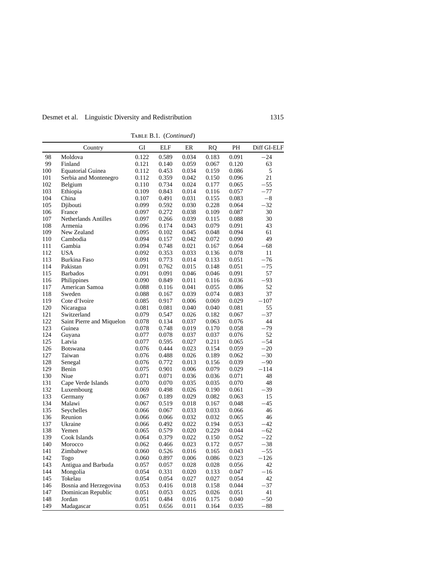|     | Country                     | GI    | ELF   | ER    | RQ    | PH    | Diff GI-ELF |
|-----|-----------------------------|-------|-------|-------|-------|-------|-------------|
| 98  | Moldova                     | 0.122 | 0.589 | 0.034 | 0.183 | 0.091 | $-24$       |
| 99  | Finland                     | 0.121 | 0.140 | 0.059 | 0.067 | 0.120 | 63          |
| 100 | <b>Equatorial Guinea</b>    | 0.112 | 0.453 | 0.034 | 0.159 | 0.086 | 5           |
| 101 | Serbia and Montenegro       | 0.112 | 0.359 | 0.042 | 0.150 | 0.096 | 21          |
| 102 | Belgium                     | 0.110 | 0.734 | 0.024 | 0.177 | 0.065 | $-55$       |
| 103 | Ethiopia                    | 0.109 | 0.843 | 0.014 | 0.116 | 0.057 | $-77$       |
| 104 | China                       | 0.107 | 0.491 | 0.031 | 0.155 | 0.083 | $-8$        |
| 105 | Djibouti                    | 0.099 | 0.592 | 0.030 | 0.228 | 0.064 | $-32$       |
| 106 | France                      | 0.097 | 0.272 | 0.038 | 0.109 | 0.087 | 30          |
| 107 | <b>Netherlands Antilles</b> | 0.097 | 0.266 | 0.039 | 0.115 | 0.088 | 30          |
| 108 | Armenia                     | 0.096 | 0.174 | 0.043 | 0.079 | 0.091 | 43          |
| 109 | New Zealand                 | 0.095 | 0.102 | 0.045 | 0.048 | 0.094 | 61          |
| 110 | Cambodia                    | 0.094 | 0.157 | 0.042 | 0.072 | 0.090 | 49          |
| 111 | Gambia                      | 0.094 | 0.748 | 0.021 | 0.167 | 0.064 | $-68$       |
| 112 | <b>USA</b>                  | 0.092 | 0.353 | 0.033 | 0.136 | 0.078 | 11          |
| 113 | Burkina Faso                | 0.091 | 0.773 | 0.014 | 0.133 | 0.051 | $-76$       |
| 114 | Pakistan                    | 0.091 | 0.762 | 0.015 | 0.148 | 0.051 | $-75$       |
| 115 | <b>Barbados</b>             | 0.091 | 0.091 | 0.046 | 0.046 | 0.091 | 57          |
| 116 | Philippines                 | 0.090 | 0.849 | 0.011 | 0.116 | 0.036 | $-93$       |
| 117 | American Samoa              | 0.088 | 0.116 | 0.041 | 0.055 | 0.086 | 52          |
| 118 | Sweden                      | 0.088 | 0.167 | 0.039 | 0.074 | 0.083 | 37          |
| 119 | Cote d'Ivoire               | 0.085 | 0.917 | 0.006 | 0.069 | 0.029 | $-107$      |
| 120 | Nicaragua                   | 0.081 | 0.081 | 0.040 | 0.040 | 0.081 | 55          |
| 121 | Switzerland                 | 0.079 | 0.547 | 0.026 | 0.182 | 0.067 | $-37$       |
| 122 | Saint Pierre and Miquelon   | 0.078 | 0.134 | 0.037 | 0.063 | 0.076 | 44          |
| 123 | Guinea                      | 0.078 | 0.748 | 0.019 | 0.170 | 0.058 | $-79$       |
| 124 | Guyana                      | 0.077 | 0.078 | 0.037 | 0.037 | 0.076 | 52          |
| 125 | Latvia                      | 0.077 | 0.595 | 0.027 | 0.211 | 0.065 | $-54$       |
| 126 | <b>Botswana</b>             | 0.076 | 0.444 | 0.023 | 0.154 | 0.059 | $-20$       |
| 127 | Taiwan                      | 0.076 | 0.488 | 0.026 | 0.189 | 0.062 | $-30$       |
| 128 | Senegal                     | 0.076 | 0.772 | 0.013 | 0.156 | 0.039 | $-90$       |
| 129 | Benin                       | 0.075 | 0.901 | 0.006 | 0.079 | 0.029 | $-114$      |
| 130 | Niue                        | 0.071 | 0.071 | 0.036 | 0.036 | 0.071 | 48          |
| 131 | Cape Verde Islands          | 0.070 | 0.070 | 0.035 | 0.035 | 0.070 | 48          |
| 132 | Luxembourg                  | 0.069 | 0.498 | 0.026 | 0.190 | 0.061 | $-39$       |
| 133 | Germany                     | 0.067 | 0.189 | 0.029 | 0.082 | 0.063 | 15          |
| 134 | Malawi                      | 0.067 | 0.519 | 0.018 | 0.167 | 0.048 | $-45$       |
| 135 | Seychelles                  | 0.066 | 0.067 | 0.033 | 0.033 | 0.066 | 46          |
| 136 | Reunion                     | 0.066 | 0.066 | 0.032 | 0.032 | 0.065 | 46          |
| 137 | Ukraine                     | 0.066 | 0.492 | 0.022 | 0.194 | 0.053 | $-42$       |
| 138 | Yemen                       | 0.065 | 0.579 | 0.020 | 0.229 | 0.044 | $-62$       |
| 139 | Cook Islands                | 0.064 | 0.379 | 0.022 | 0.150 | 0.052 | $-22$       |
| 140 | Morocco                     | 0.062 | 0.466 | 0.023 | 0.172 | 0.057 | $-38$       |
| 141 | Zimbabwe                    | 0.060 | 0.526 | 0.016 | 0.165 | 0.043 | $-55$       |
| 142 | Togo                        | 0.060 | 0.897 | 0.006 | 0.086 | 0.023 | $-126$      |
| 143 | Antigua and Barbuda         | 0.057 | 0.057 | 0.028 | 0.028 | 0.056 | 42          |
| 144 | Mongolia                    | 0.054 | 0.331 | 0.020 | 0.133 | 0.047 | $-16$       |
| 145 | Tokelau                     | 0.054 | 0.054 | 0.027 | 0.027 | 0.054 | 42          |
| 146 | Bosnia and Herzegovina      | 0.053 | 0.416 | 0.018 | 0.158 | 0.044 | $-37$       |
| 147 | Dominican Republic          | 0.051 | 0.053 | 0.025 | 0.026 | 0.051 | 41          |
| 148 | Jordan                      | 0.051 | 0.484 | 0.016 | 0.175 | 0.040 | $-50$       |
| 149 | Madagascar                  | 0.051 | 0.656 | 0.011 | 0.164 | 0.035 | $-88$       |

Table B.1. (*Continued*)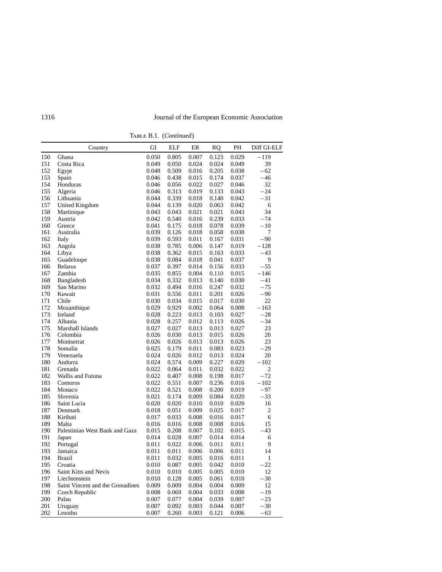Table B.1. (*Continued*)

|     | Country                          | GI    | ELF   | ER    | RQ    | PH    | Diff GI-ELF |
|-----|----------------------------------|-------|-------|-------|-------|-------|-------------|
| 150 | Ghana                            | 0.050 | 0.805 | 0.007 | 0.123 | 0.029 | $-119$      |
| 151 | Costa Rica                       | 0.049 | 0.050 | 0.024 | 0.024 | 0.049 | 39          |
| 152 | Egypt                            | 0.048 | 0.509 | 0.016 | 0.205 | 0.038 | $-62$       |
| 153 | Spain                            | 0.046 | 0.438 | 0.015 | 0.174 | 0.037 | $-46$       |
| 154 | Honduras                         | 0.046 | 0.056 | 0.022 | 0.027 | 0.046 | 32          |
| 155 | Algeria                          | 0.046 | 0.313 | 0.019 | 0.133 | 0.043 | $-24$       |
| 156 | Lithuania                        | 0.044 | 0.339 | 0.018 | 0.140 | 0.042 | $-31$       |
| 157 | <b>United Kingdom</b>            | 0.044 | 0.139 | 0.020 | 0.063 | 0.042 | 6           |
| 158 | Martinique                       | 0.043 | 0.043 | 0.021 | 0.021 | 0.043 | 34          |
| 159 | Austria                          | 0.042 | 0.540 | 0.016 | 0.239 | 0.033 | $-74$       |
| 160 | Greece                           | 0.041 | 0.175 | 0.018 | 0.078 | 0.039 | $-10$       |
| 161 | Australia                        | 0.039 | 0.126 | 0.018 | 0.058 | 0.038 | 7           |
| 162 | Italy                            | 0.039 | 0.593 | 0.011 | 0.167 | 0.031 | $-90$       |
| 163 | Angola                           | 0.038 | 0.785 | 0.006 | 0.147 | 0.019 | $-128$      |
| 164 | Libya                            | 0.038 | 0.362 | 0.015 | 0.163 | 0.033 | $-43$       |
| 165 | Guadeloupe                       | 0.038 | 0.084 | 0.018 | 0.041 | 0.037 | 9           |
| 166 | <b>Belarus</b>                   | 0.037 | 0.397 | 0.014 | 0.156 | 0.033 | $-55$       |
| 167 | Zambia                           | 0.035 | 0.855 | 0.004 | 0.110 | 0.015 | $-146$      |
| 168 | Bangladesh                       | 0.034 | 0.332 | 0.013 | 0.140 | 0.030 | $-41$       |
| 169 | San Marino                       | 0.032 | 0.494 | 0.016 | 0.247 | 0.032 | $-75$       |
| 170 | Kuwait                           | 0.031 | 0.556 | 0.011 | 0.201 | 0.026 | $-90$       |
| 171 | Chile                            | 0.030 | 0.034 | 0.015 | 0.017 | 0.030 | 22          |
| 172 | Mozambique                       | 0.029 | 0.929 | 0.002 | 0.064 | 0.008 | $-163$      |
| 173 | Ireland                          | 0.028 | 0.223 | 0.013 | 0.103 | 0.027 | $-28$       |
| 174 | Albania                          | 0.028 | 0.257 | 0.012 | 0.113 | 0.026 | $-34$       |
| 175 | Marshall Islands                 | 0.027 | 0.027 | 0.013 | 0.013 | 0.027 | 23          |
| 176 | Colombia                         | 0.026 | 0.030 | 0.013 | 0.015 | 0.026 | 20          |
| 177 | Montserrat                       | 0.026 | 0.026 | 0.013 | 0.013 | 0.026 | 23          |
| 178 | Somalia                          | 0.025 | 0.179 | 0.011 | 0.083 | 0.023 | $-29$       |
| 179 | Venezuela                        | 0.024 | 0.026 | 0.012 | 0.013 | 0.024 | 20          |
| 180 | Andorra                          | 0.024 | 0.574 | 0.009 | 0.227 | 0.020 | $-102$      |
| 181 | Grenada                          | 0.022 | 0.064 | 0.011 | 0.032 | 0.022 | 2           |
| 182 | Wallis and Futuna                | 0.022 | 0.407 | 0.008 | 0.198 | 0.017 | $-72$       |
| 183 | Comoros                          | 0.022 | 0.551 | 0.007 | 0.236 | 0.016 | $-102$      |
| 184 | Monaco                           | 0.022 | 0.521 | 0.008 | 0.200 | 0.019 | $-97$       |
| 185 | Slovenia                         | 0.021 | 0.174 | 0.009 | 0.084 | 0.020 | $-33$       |
| 186 | Saint Lucia                      | 0.020 | 0.020 | 0.010 | 0.010 | 0.020 | 16          |
| 187 | Denmark                          | 0.018 | 0.051 | 0.009 | 0.025 | 0.017 | 2           |
| 188 | Kiribati                         | 0.017 | 0.033 | 0.008 | 0.016 | 0.017 | 6           |
| 189 | Malta                            | 0.016 | 0.016 | 0.008 | 0.008 | 0.016 | 15          |
| 190 | Palestinian West Bank and Gaza   | 0.015 | 0.208 | 0.007 | 0.102 | 0.015 | $-43$       |
| 191 | Japan                            | 0.014 | 0.028 | 0.007 | 0.014 | 0.014 | 6           |
| 192 | Portugal                         | 0.011 | 0.022 | 0.006 | 0.011 | 0.011 | 9           |
| 193 | Jamaica                          | 0.011 | 0.011 | 0.006 | 0.006 | 0.011 | 14          |
| 194 | <b>Brazil</b>                    | 0.011 | 0.032 | 0.005 | 0.016 | 0.011 | 1           |
| 195 | Croatia                          | 0.010 | 0.087 | 0.005 | 0.042 | 0.010 | $-22$       |
| 196 | Saint Kitts and Nevis            | 0.010 | 0.010 | 0.005 | 0.005 | 0.010 | 12          |
| 197 | Liechtenstein                    | 0.010 | 0.128 | 0.005 | 0.061 | 0.010 | $-30$       |
| 198 | Saint Vincent and the Grenadines | 0.009 | 0.009 | 0.004 | 0.004 | 0.009 | 12          |
| 199 | Czech Republic                   | 0.008 | 0.069 | 0.004 | 0.033 | 0.008 | $-19$       |
| 200 | Palau                            | 0.007 | 0.077 | 0.004 | 0.039 | 0.007 | $-23$       |
| 201 | Uruguay                          | 0.007 | 0.092 | 0.003 | 0.044 | 0.007 | $-30$       |
| 202 | Lesotho                          | 0.007 | 0.260 | 0.003 | 0.121 | 0.006 | $-63$       |
|     |                                  |       |       |       |       |       |             |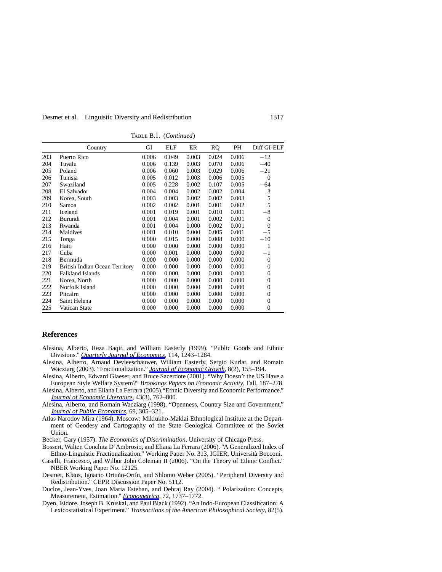|     | Country                        | GI    | ELF   | ER    | RQ    | PH    | Diff GI-ELF      |
|-----|--------------------------------|-------|-------|-------|-------|-------|------------------|
| 203 | Puerto Rico                    | 0.006 | 0.049 | 0.003 | 0.024 | 0.006 | $-12$            |
| 204 | Tuvalu                         | 0.006 | 0.139 | 0.003 | 0.070 | 0.006 | $-40$            |
| 205 | Poland                         | 0.006 | 0.060 | 0.003 | 0.029 | 0.006 | $-21$            |
| 206 | Tunisia                        | 0.005 | 0.012 | 0.003 | 0.006 | 0.005 | $\overline{0}$   |
| 207 | Swaziland                      | 0.005 | 0.228 | 0.002 | 0.107 | 0.005 | $-64$            |
| 208 | El Salvador                    | 0.004 | 0.004 | 0.002 | 0.002 | 0.004 | 3                |
| 209 | Korea, South                   | 0.003 | 0.003 | 0.002 | 0.002 | 0.003 | 5                |
| 210 | Samoa                          | 0.002 | 0.002 | 0.001 | 0.001 | 0.002 | 5                |
| 211 | Iceland                        | 0.001 | 0.019 | 0.001 | 0.010 | 0.001 | $^{-8}$          |
| 212 | Burundi                        | 0.001 | 0.004 | 0.001 | 0.002 | 0.001 | $\overline{0}$   |
| 213 | Rwanda                         | 0.001 | 0.004 | 0.000 | 0.002 | 0.001 | $\overline{0}$   |
| 214 | Maldives                       | 0.001 | 0.010 | 0.000 | 0.005 | 0.001 | $-5$             |
| 215 | Tonga                          | 0.000 | 0.015 | 0.000 | 0.008 | 0.000 | $-10$            |
| 216 | Haiti                          | 0.000 | 0.000 | 0.000 | 0.000 | 0.000 | 1                |
| 217 | Cuba                           | 0.000 | 0.001 | 0.000 | 0.000 | 0.000 | $-1$             |
| 218 | Bermuda                        | 0.000 | 0.000 | 0.000 | 0.000 | 0.000 | $\boldsymbol{0}$ |
| 219 | British Indian Ocean Territory | 0.000 | 0.000 | 0.000 | 0.000 | 0.000 | $\boldsymbol{0}$ |
| 220 | Falkland Islands               | 0.000 | 0.000 | 0.000 | 0.000 | 0.000 | $\boldsymbol{0}$ |
| 221 | Korea, North                   | 0.000 | 0.000 | 0.000 | 0.000 | 0.000 | $\boldsymbol{0}$ |
| 222 | Norfolk Island                 | 0.000 | 0.000 | 0.000 | 0.000 | 0.000 | $\boldsymbol{0}$ |
| 223 | Pitcairn                       | 0.000 | 0.000 | 0.000 | 0.000 | 0.000 | $\boldsymbol{0}$ |
| 224 | Saint Helena                   | 0.000 | 0.000 | 0.000 | 0.000 | 0.000 | $\boldsymbol{0}$ |
| 225 | Vatican State                  | 0.000 | 0.000 | 0.000 | 0.000 | 0.000 | $\mathbf{0}$     |

Table B.1. (*Continued*)

### **References**

- Alesina, Alberto, Reza Baqir, and William Easterly (1999). "Public Goods and Ethnic Divisions." *Quarterly Journal of Economics*, 114, 1243–1284.
- Alesina, Alberto, Arnaud Devleeschauwer, William Easterly, Sergio Kurlat, and Romain Wacziarg (2003). "Fractionalization." *Journal of Economic Growth*, 8(2), 155–194.
- Alesina, Alberto, Edward Glaeser, and Bruce Sacerdote (2001). "Why Doesn't the US Have a European Style Welfare System?" *Brookings Papers on Economic Activity*, Fall, 187–278.
- Alesina, Alberto, and Eliana La Ferrara (2005)."Ethnic Diversity and Economic Performance." *Journal of Economic Literature*, 43(3), 762–800.
- Alesina, Alberto, and Romain Wacziarg (1998). "Openness, Country Size and Government." *Journal of Public Economics*, 69, 305–321.
- Atlas Narodov Mira (1964). Moscow: Miklukho-Maklai Ethnological Institute at the Department of Geodesy and Cartography of the State Geological Committee of the Soviet Union.
- Becker, Gary (1957). *The Economics of Discrimination*. University of Chicago Press.
- Bossert, Walter, Conchita D'Ambrosio, and Eliana La Ferrara (2006). "A Generalized Index of Ethno-Linguistic Fractionalization." Working Paper No. 313, IGIER, Università Bocconi.
- Caselli, Francesco, and Wilbur John Coleman II (2006). "On the Theory of Ethnic Conflict." NBER Working Paper No. 12125.
- Desmet, Klaus, Ignacio Ortuño-Ortín, and Shlomo Weber (2005). "Peripheral Diversity and Redistribution." CEPR Discussion Paper No. 5112.
- Duclos, Jean-Yves, Joan Maria Esteban, and Debraj Ray (2004). " Polarization: Concepts, Measurement, Estimation." *Econometrica*, 72, 1737–1772.
- Dyen, Isidore, Joseph B. Kruskal, and Paul Black (1992). "An Indo-European Classification: A Lexicostatistical Experiment." *Transactions of the American Philosophical Society*, 82(5).